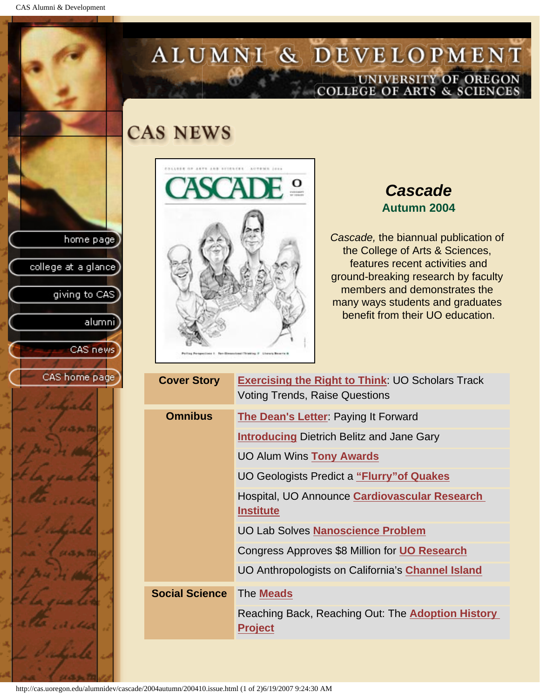CAS Alumni & Development

home page

college at a glance

giving to CAS

alumni]

CAS news

CAS home page

# ALUMNI & DEVELOPMENT UNIVERSITY OF OREGON<br>COLLEGE OF ARTS & SCIENCES

## **CAS NEWS**



## *Cascade* **Autumn 2004**

*Cascade,* the biannual publication of the College of Arts & Sciences, features recent activities and ground-breaking research by faculty members and demonstrates the many ways students and graduates benefit from their UO education.

| <b>Cover Story</b>    | <b>Exercising the Right to Think: UO Scholars Track</b><br><b>Voting Trends, Raise Questions</b> |  |
|-----------------------|--------------------------------------------------------------------------------------------------|--|
| <b>Omnibus</b>        | The Dean's Letter: Paying It Forward                                                             |  |
|                       | <b>Introducing Dietrich Belitz and Jane Gary</b>                                                 |  |
|                       | UO Alum Wins Tony Awards                                                                         |  |
|                       | UO Geologists Predict a "Flurry" of Quakes                                                       |  |
|                       | Hospital, UO Announce <b>Cardiovascular Research</b><br><b>Institute</b>                         |  |
|                       | <b>UO Lab Solves Nanoscience Problem</b>                                                         |  |
|                       | Congress Approves \$8 Million for UO Research                                                    |  |
|                       | UO Anthropologists on California's <b>Channel Island</b>                                         |  |
| <b>Social Science</b> | The <b>Meads</b>                                                                                 |  |
|                       | Reaching Back, Reaching Out: The Adoption History<br><b>Project</b>                              |  |
|                       |                                                                                                  |  |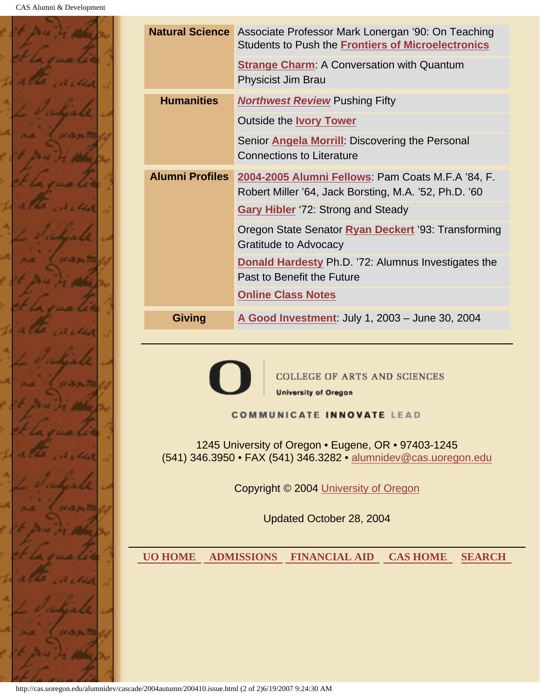

|                                                                                                                                                                                                                                                                                                       | <b>Natural Science</b> Associate Professor Mark Lonergan '90: On Teaching<br><b>Students to Push the Frontiers of Microelectronics</b> |  |  |  |
|-------------------------------------------------------------------------------------------------------------------------------------------------------------------------------------------------------------------------------------------------------------------------------------------------------|----------------------------------------------------------------------------------------------------------------------------------------|--|--|--|
|                                                                                                                                                                                                                                                                                                       | <b>Strange Charm: A Conversation with Quantum</b><br><b>Physicist Jim Brau</b>                                                         |  |  |  |
| <b>Humanities</b>                                                                                                                                                                                                                                                                                     | <b>Northwest Review Pushing Fifty</b>                                                                                                  |  |  |  |
|                                                                                                                                                                                                                                                                                                       | <b>Outside the Ivory Tower</b>                                                                                                         |  |  |  |
|                                                                                                                                                                                                                                                                                                       | Senior Angela Morrill: Discovering the Personal<br><b>Connections to Literature</b>                                                    |  |  |  |
| <b>Alumni Profiles</b>                                                                                                                                                                                                                                                                                | 2004-2005 Alumni Fellows: Pam Coats M.F.A '84, F.<br>Robert Miller '64, Jack Borsting, M.A. '52, Ph.D. '60                             |  |  |  |
|                                                                                                                                                                                                                                                                                                       | <b>Gary Hibler</b> '72: Strong and Steady                                                                                              |  |  |  |
|                                                                                                                                                                                                                                                                                                       | Oregon State Senator Ryan Deckert '93: Transforming<br><b>Gratitude to Advocacy</b>                                                    |  |  |  |
|                                                                                                                                                                                                                                                                                                       | Donald Hardesty Ph.D. '72: Alumnus Investigates the<br>Past to Benefit the Future                                                      |  |  |  |
|                                                                                                                                                                                                                                                                                                       | <b>Online Class Notes</b>                                                                                                              |  |  |  |
| <b>Giving</b>                                                                                                                                                                                                                                                                                         | A Good Investment: July 1, 2003 - June 30, 2004                                                                                        |  |  |  |
| <b>COLLEGE OF ARTS AND SCIENCES</b><br><b>University of Oregon</b><br><b>COMMUNICATE INNOVATE LEAD</b><br>1245 University of Oregon • Eugene, OR • 97403-1245<br>(541) 346.3950 • FAX (541) 346.3282 • alumnidev@cas.uoregon.edu<br>Copyright © 2004 University of Oregon<br>Updated October 28, 2004 |                                                                                                                                        |  |  |  |
|                                                                                                                                                                                                                                                                                                       |                                                                                                                                        |  |  |  |
| <b>UO HOME</b>                                                                                                                                                                                                                                                                                        | <b>ADMISSIONS</b><br><b>FINANCIAL AID</b><br><b>CAS HOME</b><br><b>SEARCH</b>                                                          |  |  |  |
|                                                                                                                                                                                                                                                                                                       |                                                                                                                                        |  |  |  |

http://cas.uoregon.edu/alumnidev/cascade/2004autumn/200410.issue.html (2 of 2)6/19/2007 9:24:30 AM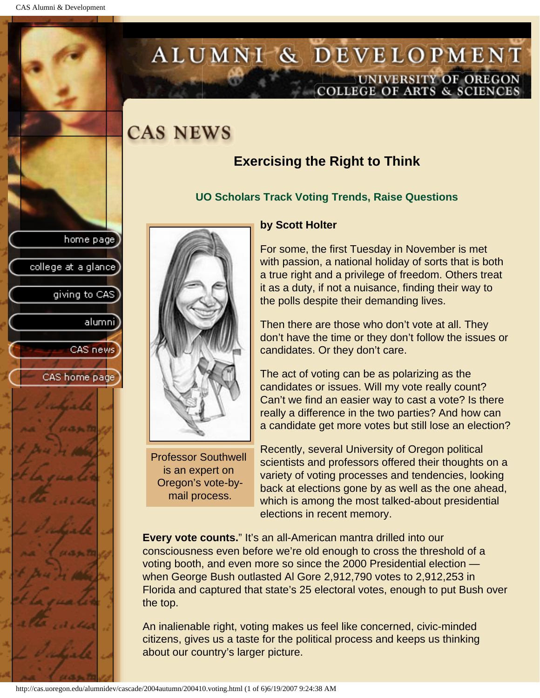college at a glance]

giving to CAS

alumnil

CAS news

CAS home page

# <span id="page-2-0"></span>ALUMNI & DEVELOPMENT UNIVERSITY OF OREGON<br>COLLEGE OF ARTS & SCIENCES

# **CAS NEWS**

## **Exercising the Right to Think**

### **UO Scholars Track Voting Trends, Raise Questions**



Professor Southwell is an expert on Oregon's vote-bymail process.

### **by Scott Holter**

For some, the first Tuesday in November is met with passion, a national holiday of sorts that is both a true right and a privilege of freedom. Others treat it as a duty, if not a nuisance, finding their way to the polls despite their demanding lives.

Then there are those who don't vote at all. They don't have the time or they don't follow the issues or candidates. Or they don't care.

The act of voting can be as polarizing as the candidates or issues. Will my vote really count? Can't we find an easier way to cast a vote? Is there really a difference in the two parties? And how can a candidate get more votes but still lose an election?

Recently, several University of Oregon political scientists and professors offered their thoughts on a variety of voting processes and tendencies, looking back at elections gone by as well as the one ahead, which is among the most talked-about presidential elections in recent memory.

**Every vote counts."** It's an all-American mantra drilled into our consciousness even before we're old enough to cross the threshold of a voting booth, and even more so since the 2000 Presidential election when George Bush outlasted Al Gore 2,912,790 votes to 2,912,253 in Florida and captured that state's 25 electoral votes, enough to put Bush over the top.

An inalienable right, voting makes us feel like concerned, civic-minded citizens, gives us a taste for the political process and keeps us thinking about our country's larger picture.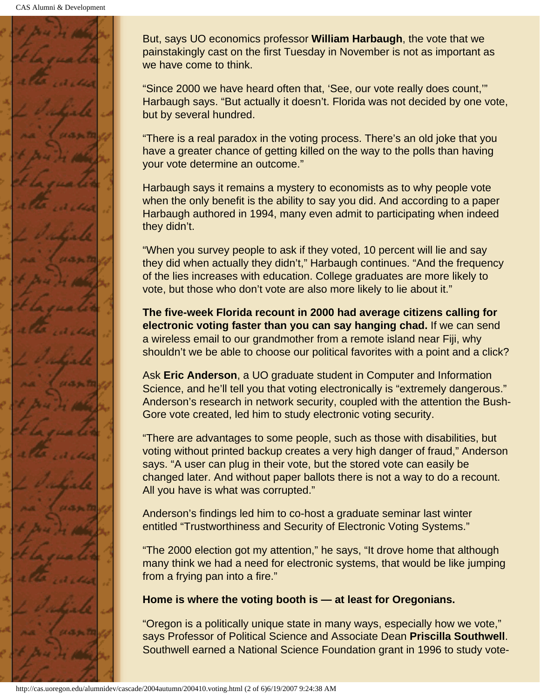

But, says UO economics professor **William Harbaugh**, the vote that we painstakingly cast on the first Tuesday in November is not as important as we have come to think.

"Since 2000 we have heard often that, 'See, our vote really does count,'" Harbaugh says. "But actually it doesn't. Florida was not decided by one vote, but by several hundred.

"There is a real paradox in the voting process. There's an old joke that you have a greater chance of getting killed on the way to the polls than having your vote determine an outcome."

Harbaugh says it remains a mystery to economists as to why people vote when the only benefit is the ability to say you did. And according to a paper Harbaugh authored in 1994, many even admit to participating when indeed they didn't.

"When you survey people to ask if they voted, 10 percent will lie and say they did when actually they didn't," Harbaugh continues. "And the frequency of the lies increases with education. College graduates are more likely to vote, but those who don't vote are also more likely to lie about it."

**The five-week Florida recount in 2000 had average citizens calling for electronic voting faster than you can say hanging chad.** If we can send a wireless email to our grandmother from a remote island near Fiji, why shouldn't we be able to choose our political favorites with a point and a click?

Ask **Eric Anderson**, a UO graduate student in Computer and Information Science, and he'll tell you that voting electronically is "extremely dangerous." Anderson's research in network security, coupled with the attention the Bush-Gore vote created, led him to study electronic voting security.

"There are advantages to some people, such as those with disabilities, but voting without printed backup creates a very high danger of fraud," Anderson says. "A user can plug in their vote, but the stored vote can easily be changed later. And without paper ballots there is not a way to do a recount. All you have is what was corrupted."

Anderson's findings led him to co-host a graduate seminar last winter entitled "Trustworthiness and Security of Electronic Voting Systems."

"The 2000 election got my attention," he says, "It drove home that although many think we had a need for electronic systems, that would be like jumping from a frying pan into a fire."

### **Home is where the voting booth is — at least for Oregonians.**

"Oregon is a politically unique state in many ways, especially how we vote," says Professor of Political Science and Associate Dean **Priscilla Southwell**. Southwell earned a National Science Foundation grant in 1996 to study vote-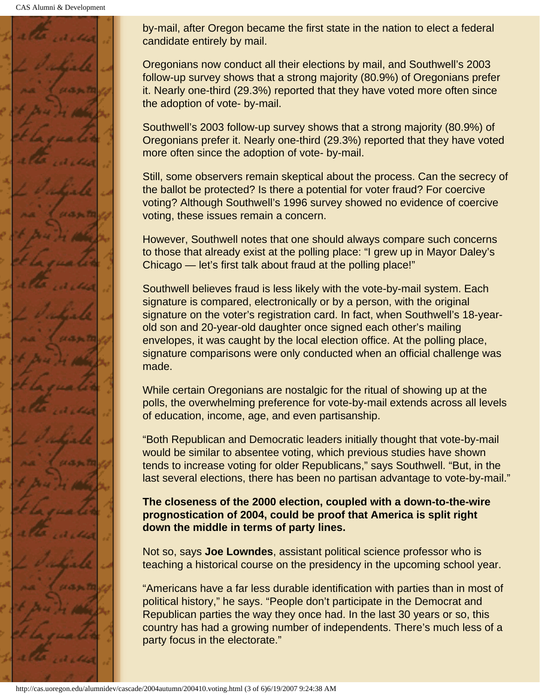CAS Alumni & Development



by-mail, after Oregon became the first state in the nation to elect a federal candidate entirely by mail.

Oregonians now conduct all their elections by mail, and Southwell's 2003 follow-up survey shows that a strong majority (80.9%) of Oregonians prefer it. Nearly one-third (29.3%) reported that they have voted more often since the adoption of vote- by-mail.

Southwell's 2003 follow-up survey shows that a strong majority (80.9%) of Oregonians prefer it. Nearly one-third (29.3%) reported that they have voted more often since the adoption of vote- by-mail.

Still, some observers remain skeptical about the process. Can the secrecy of the ballot be protected? Is there a potential for voter fraud? For coercive voting? Although Southwell's 1996 survey showed no evidence of coercive voting, these issues remain a concern.

However, Southwell notes that one should always compare such concerns to those that already exist at the polling place: "I grew up in Mayor Daley's Chicago — let's first talk about fraud at the polling place!"

Southwell believes fraud is less likely with the vote-by-mail system. Each signature is compared, electronically or by a person, with the original signature on the voter's registration card. In fact, when Southwell's 18-yearold son and 20-year-old daughter once signed each other's mailing envelopes, it was caught by the local election office. At the polling place, signature comparisons were only conducted when an official challenge was made.

While certain Oregonians are nostalgic for the ritual of showing up at the polls, the overwhelming preference for vote-by-mail extends across all levels of education, income, age, and even partisanship.

"Both Republican and Democratic leaders initially thought that vote-by-mail would be similar to absentee voting, which previous studies have shown tends to increase voting for older Republicans," says Southwell. "But, in the last several elections, there has been no partisan advantage to vote-by-mail."

### **The closeness of the 2000 election, coupled with a down-to-the-wire prognostication of 2004, could be proof that America is split right down the middle in terms of party lines.**

Not so, says **Joe Lowndes**, assistant political science professor who is teaching a historical course on the presidency in the upcoming school year.

"Americans have a far less durable identification with parties than in most of political history," he says. "People don't participate in the Democrat and Republican parties the way they once had. In the last 30 years or so, this country has had a growing number of independents. There's much less of a party focus in the electorate."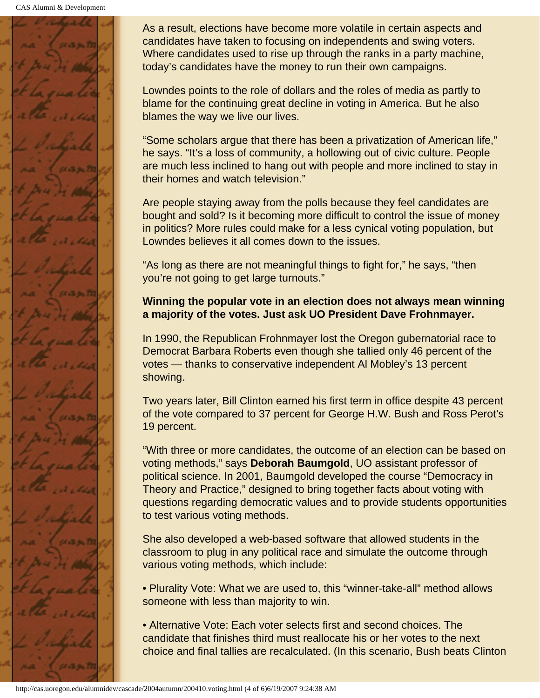CAS Alumni & Development



As a result, elections have become more volatile in certain aspects and candidates have taken to focusing on independents and swing voters. Where candidates used to rise up through the ranks in a party machine, today's candidates have the money to run their own campaigns.

Lowndes points to the role of dollars and the roles of media as partly to blame for the continuing great decline in voting in America. But he also blames the way we live our lives.

"Some scholars argue that there has been a privatization of American life," he says. "It's a loss of community, a hollowing out of civic culture. People are much less inclined to hang out with people and more inclined to stay in their homes and watch television."

Are people staying away from the polls because they feel candidates are bought and sold? Is it becoming more difficult to control the issue of money in politics? More rules could make for a less cynical voting population, but Lowndes believes it all comes down to the issues.

"As long as there are not meaningful things to fight for," he says, "then you're not going to get large turnouts."

### **Winning the popular vote in an election does not always mean winning a majority of the votes. Just ask UO President Dave Frohnmayer.**

In 1990, the Republican Frohnmayer lost the Oregon gubernatorial race to Democrat Barbara Roberts even though she tallied only 46 percent of the votes — thanks to conservative independent Al Mobley's 13 percent showing.

Two years later, Bill Clinton earned his first term in office despite 43 percent of the vote compared to 37 percent for George H.W. Bush and Ross Perot's 19 percent.

"With three or more candidates, the outcome of an election can be based on voting methods," says **Deborah Baumgold**, UO assistant professor of political science. In 2001, Baumgold developed the course "Democracy in Theory and Practice," designed to bring together facts about voting with questions regarding democratic values and to provide students opportunities to test various voting methods.

She also developed a web-based software that allowed students in the classroom to plug in any political race and simulate the outcome through various voting methods, which include:

• Plurality Vote: What we are used to, this "winner-take-all" method allows someone with less than majority to win.

• Alternative Vote: Each voter selects first and second choices. The candidate that finishes third must reallocate his or her votes to the next choice and final tallies are recalculated. (In this scenario, Bush beats Clinton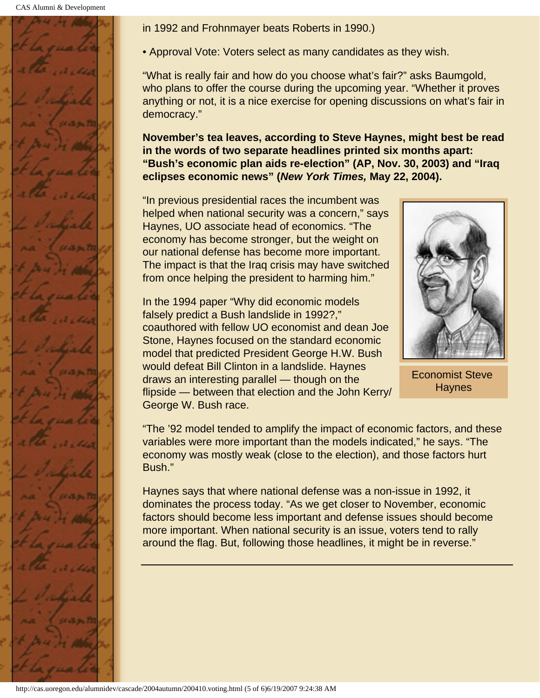

in 1992 and Frohnmayer beats Roberts in 1990.)

• Approval Vote: Voters select as many candidates as they wish.

"What is really fair and how do you choose what's fair?" asks Baumgold, who plans to offer the course during the upcoming year. "Whether it proves anything or not, it is a nice exercise for opening discussions on what's fair in democracy."

**November's tea leaves, according to Steve Haynes, might best be read in the words of two separate headlines printed six months apart: "Bush's economic plan aids re-election" (AP, Nov. 30, 2003) and "Iraq eclipses economic news" (***New York Times,* **May 22, 2004).**

"In previous presidential races the incumbent was helped when national security was a concern," says Haynes, UO associate head of economics. "The economy has become stronger, but the weight on our national defense has become more important. The impact is that the Iraq crisis may have switched from once helping the president to harming him."

In the 1994 paper "Why did economic models falsely predict a Bush landslide in 1992?," coauthored with fellow UO economist and dean Joe Stone, Haynes focused on the standard economic model that predicted President George H.W. Bush would defeat Bill Clinton in a landslide. Haynes draws an interesting parallel — though on the flipside — between that election and the John Kerry/ George W. Bush race.



Economist Steve **Haynes** 

"The '92 model tended to amplify the impact of economic factors, and these variables were more important than the models indicated," he says. "The economy was mostly weak (close to the election), and those factors hurt Bush."

Haynes says that where national defense was a non-issue in 1992, it dominates the process today. "As we get closer to November, economic factors should become less important and defense issues should become more important. When national security is an issue, voters tend to rally around the flag. But, following those headlines, it might be in reverse."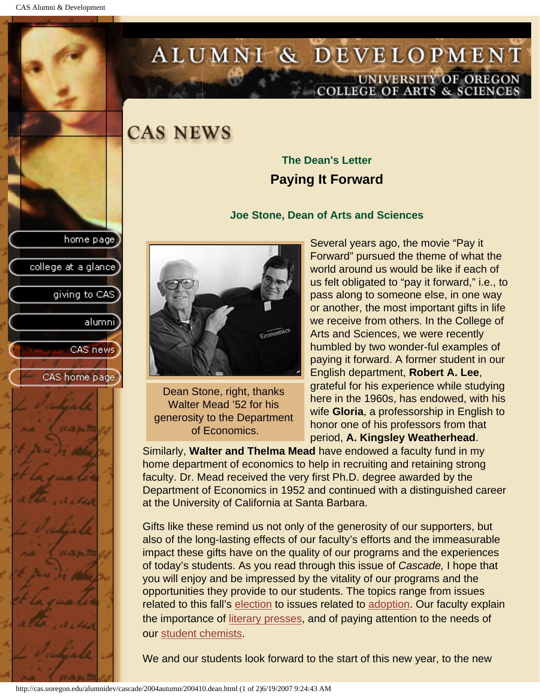college at a glance]

giving to CAS

alumnil

CAS news

CAS home page

# <span id="page-7-0"></span>ALUMNI & DEVELOPMENT UNIVERSITY OF OREGON<br>COLLEGE OF ARTS & SCIENCES

## **CAS NEWS**

### **The Dean's Letter Paying It Forward**

#### **Joe Stone, Dean of Arts and Sciences**



Dean Stone, right, thanks Walter Mead '52 for his generosity to the Department of Economics.

Several years ago, the movie "Pay it Forward" pursued the theme of what the world around us would be like if each of us felt obligated to "pay it forward," i.e., to pass along to someone else, in one way or another, the most important gifts in life we receive from others. In the College of Arts and Sciences, we were recently humbled by two wonder-ful examples of paying it forward. A former student in our English department, **Robert A. Lee**, grateful for his experience while studying here in the 1960s, has endowed, with his wife **Gloria**, a professorship in English to honor one of his professors from that period, **A. Kingsley Weatherhead**.

Similarly, **Walter and Thelma Mead** have endowed a faculty fund in my home department of economics to help in recruiting and retaining strong faculty. Dr. Mead received the very first Ph.D. degree awarded by the Department of Economics in 1952 and continued with a distinguished career at the University of California at Santa Barbara.

Gifts like these remind us not only of the generosity of our supporters, but also of the long-lasting effects of our faculty's efforts and the immeasurable impact these gifts have on the quality of our programs and the experiences of today's students. As you read through this issue of *Cascade,* I hope that you will enjoy and be impressed by the vitality of our programs and the opportunities they provide to our students. The topics range from issues related to this fall's [election](#page-2-0) to issues related to [adoption.](#page-20-0) Our faculty explain the importance of [literary presses](#page-26-0), and of paying attention to the needs of our student chemists.

We and our students look forward to the start of this new year, to the new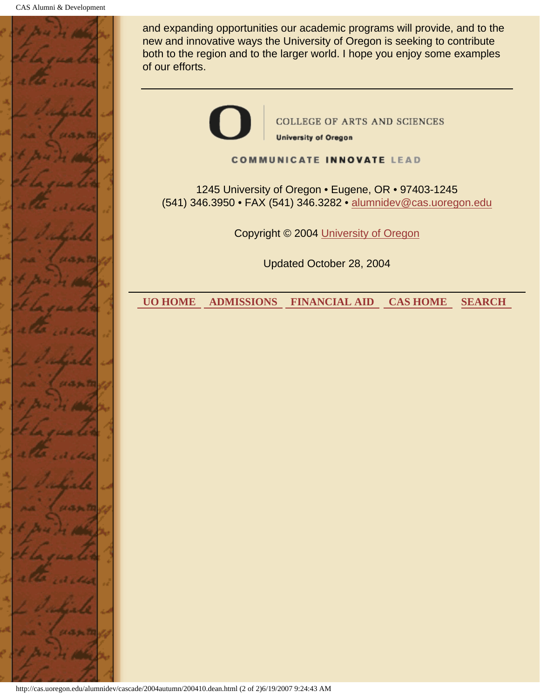

and expanding opportunities our academic programs will provide, and to the new and innovative ways the University of Oregon is seeking to contribute both to the region and to the larger world. I hope you enjoy some examples of our efforts.

> **COLLEGE OF ARTS AND SCIENCES University of Oregon**

**COMMUNICATE INNOVATE LEAD** 

1245 University of Oregon • Eugene, OR • 97403-1245 (541) 346.3950 • FAX (541) 346.3282 • alumnidev@cas.uoregon.edu

Copyright © 2004 University of Oregon

Updated October 28, 2004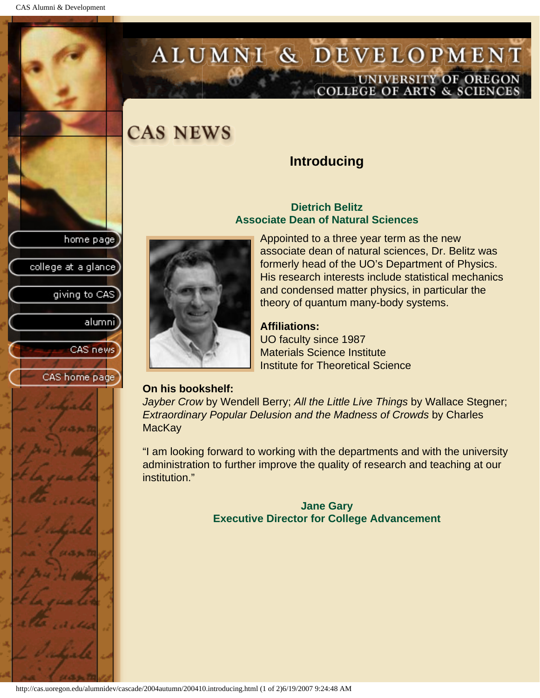# <span id="page-9-0"></span>ALUMNI & DEVELOPMENT UNIVERSITY OF OREGON<br>COLLEGE OF ARTS & SCIENCES

# **CAS NEWS**

### **Introducing**

#### **Dietrich Belitz Associate Dean of Natural Sciences**

Appointed to a three year term as the new associate dean of natural sciences, Dr. Belitz was formerly head of the UO's Department of Physics. His research interests include statistical mechanics and condensed matter physics, in particular the theory of quantum many-body systems.

### **Affiliations:**

UO faculty since 1987 Materials Science Institute Institute for Theoretical Science

### **On his bookshelf:**

*Jayber Crow* by Wendell Berry; *All the Little Live Things* by Wallace Stegner; *Extraordinary Popular Delusion and the Madness of Crowds by Charles* **MacKay** 

"I am looking forward to working with the departments and with the university administration to further improve the quality of research and teaching at our institution."

> **Jane Gary Executive Director for College Advancement**

home page college at a glance] giving to CAS alumni] CAS news

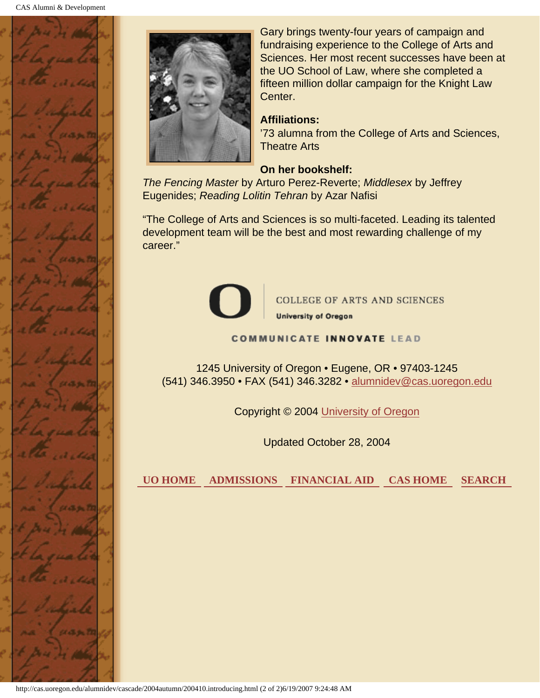



Gary brings twenty-four years of campaign and fundraising experience to the College of Arts and Sciences. Her most recent successes have been at the UO School of Law, where she completed a fifteen million dollar campaign for the Knight Law Center.

#### **Affiliations:**

'73 alumna from the College of Arts and Sciences, Theatre Arts

#### **On her bookshelf:**

*The Fencing Master* by Arturo Perez-Reverte; *Middlesex* by Jeffrey Eugenides; *Reading Lolitin Tehran* by Azar Nafisi

"The College of Arts and Sciences is so multi-faceted. Leading its talented development team will be the best and most rewarding challenge of my career."



**COLLEGE OF ARTS AND SCIENCES** 

**University of Oregon** 

#### **COMMUNICATE INNOVATE LEAD**

1245 University of Oregon • Eugene, OR • 97403-1245 (541) 346.3950 • FAX (541) 346.3282 • alumnidev@cas.uoregon.edu

Copyright © 2004 University of Oregon

Updated October 28, 2004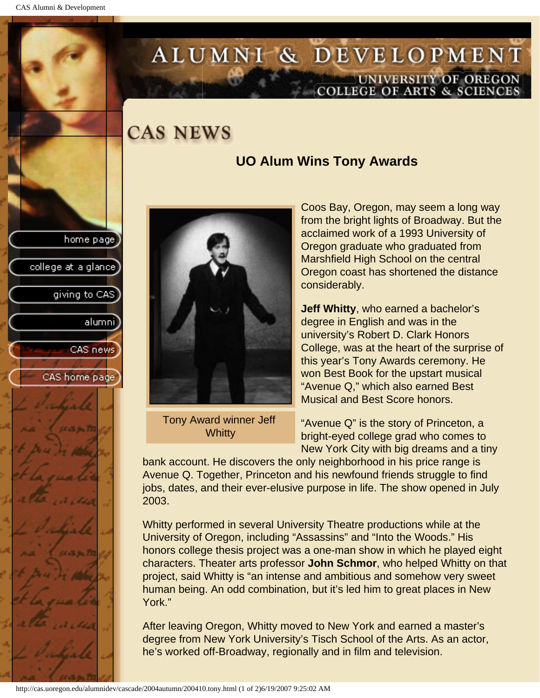college at a glance

giving to CAS

alumnil

CAS news

CAS home page

# <span id="page-11-0"></span>ALUMNI & DEVELOPMENT UNIVERSITY OF OREGON<br>COLLEGE OF ARTS & SCIENCES

## **CAS NEWS**

### **UO Alum Wins Tony Awards**



Tony Award winner Jeff **Whitty** 

Coos Bay, Oregon, may seem a long way from the bright lights of Broadway. But the acclaimed work of a 1993 University of Oregon graduate who graduated from Marshfield High School on the central Oregon coast has shortened the distance considerably.

**Jeff Whitty**, who earned a bachelor's degree in English and was in the university's Robert D. Clark Honors College, was at the heart of the surprise of this year's Tony Awards ceremony. He won Best Book for the upstart musical "Avenue Q," which also earned Best Musical and Best Score honors.

"Avenue Q" is the story of Princeton, a bright-eyed college grad who comes to New York City with big dreams and a tiny

bank account. He discovers the only neighborhood in his price range is Avenue Q. Together, Princeton and his newfound friends struggle to find jobs, dates, and their ever-elusive purpose in life. The show opened in July 2003.

Whitty performed in several University Theatre productions while at the University of Oregon, including "Assassins" and "Into the Woods." His honors college thesis project was a one-man show in which he played eight characters. Theater arts professor **John Schmor**, who helped Whitty on that project, said Whitty is "an intense and ambitious and somehow very sweet human being. An odd combination, but it's led him to great places in New York."

After leaving Oregon, Whitty moved to New York and earned a master's degree from New York University's Tisch School of the Arts. As an actor, he's worked off-Broadway, regionally and in film and television.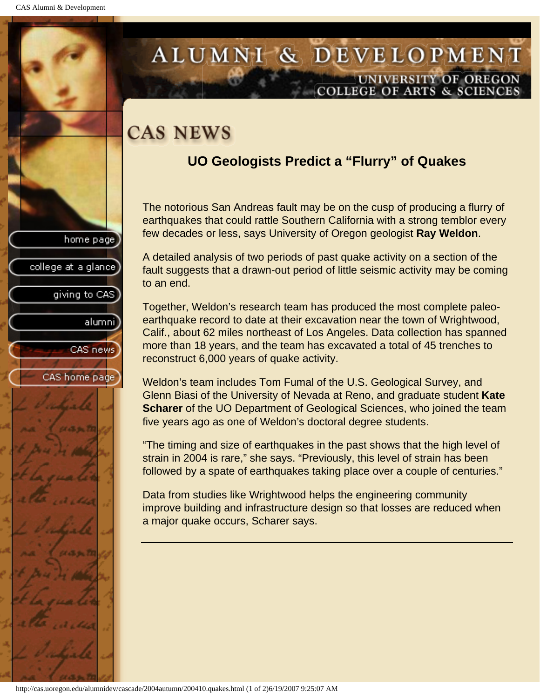college at a glance

giving to CAS

alumni

CAS news

CAS home page

## <span id="page-12-0"></span>ALUMNI & DEVELOPMENT UNIVERSITY OF OREGON OLLEGE OF ARTS & SCIENCE

# **CAS NEWS**

## **UO Geologists Predict a "Flurry" of Quakes**

The notorious San Andreas fault may be on the cusp of producing a flurry of earthquakes that could rattle Southern California with a strong temblor every few decades or less, says University of Oregon geologist **Ray Weldon**.

A detailed analysis of two periods of past quake activity on a section of the fault suggests that a drawn-out period of little seismic activity may be coming to an end.

Together, Weldon's research team has produced the most complete paleoearthquake record to date at their excavation near the town of Wrightwood, Calif., about 62 miles northeast of Los Angeles. Data collection has spanned more than 18 years, and the team has excavated a total of 45 trenches to reconstruct 6,000 years of quake activity.

Weldon's team includes Tom Fumal of the U.S. Geological Survey, and Glenn Biasi of the University of Nevada at Reno, and graduate student **Kate Scharer** of the UO Department of Geological Sciences, who joined the team five years ago as one of Weldon's doctoral degree students.

"The timing and size of earthquakes in the past shows that the high level of strain in 2004 is rare," she says. "Previously, this level of strain has been followed by a spate of earthquakes taking place over a couple of centuries."

Data from studies like Wrightwood helps the engineering community improve building and infrastructure design so that losses are reduced when a major quake occurs, Scharer says.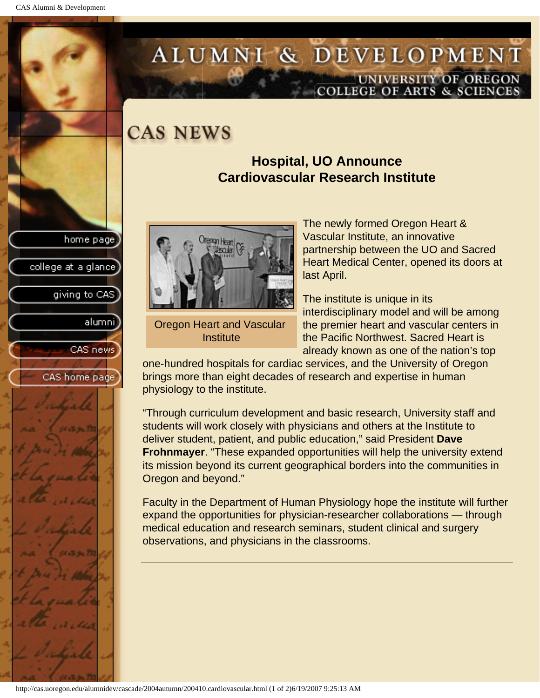college at a glance

giving to CAS

alumnil

CAS news

CAS home page

## <span id="page-13-0"></span>ALUMNI & DEVELOPMENT UNIVERSITY OF OREGON OLLEGE OF ARTS & SCIENCE

## **CAS NEWS**

### **Hospital, UO Announce Cardiovascular Research Institute**



Oregon Heart and Vascular **Institute** 

The newly formed Oregon Heart & Vascular Institute, an innovative partnership between the UO and Sacred Heart Medical Center, opened its doors at last April.

The institute is unique in its interdisciplinary model and will be among the premier heart and vascular centers in the Pacific Northwest. Sacred Heart is already known as one of the nation's top

one-hundred hospitals for cardiac services, and the University of Oregon brings more than eight decades of research and expertise in human physiology to the institute.

"Through curriculum development and basic research, University staff and students will work closely with physicians and others at the Institute to deliver student, patient, and public education," said President **Dave Frohnmayer**. "These expanded opportunities will help the university extend its mission beyond its current geographical borders into the communities in Oregon and beyond."

Faculty in the Department of Human Physiology hope the institute will further expand the opportunities for physician-researcher collaborations — through medical education and research seminars, student clinical and surgery observations, and physicians in the classrooms.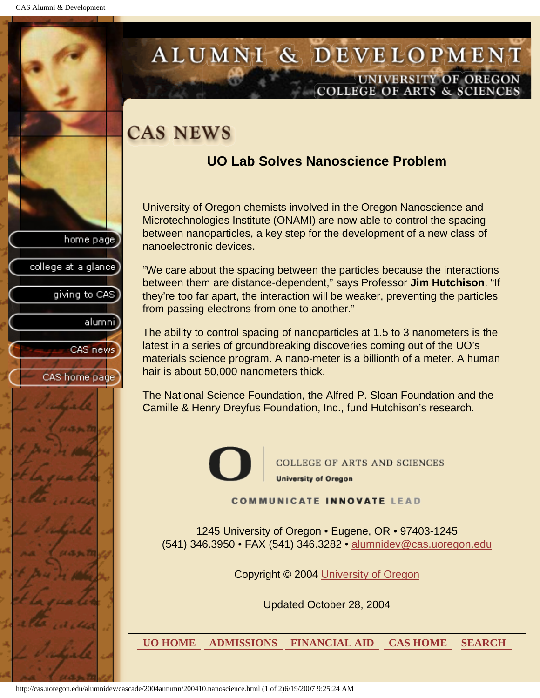college at a glance

giving to CAS

alumnil

CAS news

CAS home page

## <span id="page-14-0"></span>ALUMNI & DEVELOPMENT UNIVERSITY OF OREGON **COLLEGE OF ARTS & SCIENCE**

# **CAS NEWS**

### **UO Lab Solves Nanoscience Problem**

University of Oregon chemists involved in the Oregon Nanoscience and Microtechnologies Institute (ONAMI) are now able to control the spacing between nanoparticles, a key step for the development of a new class of nanoelectronic devices.

"We care about the spacing between the particles because the interactions between them are distance-dependent," says Professor **Jim Hutchison**. "If they're too far apart, the interaction will be weaker, preventing the particles from passing electrons from one to another."

The ability to control spacing of nanoparticles at 1.5 to 3 nanometers is the latest in a series of groundbreaking discoveries coming out of the UO's materials science program. A nano-meter is a billionth of a meter. A human hair is about 50,000 nanometers thick.

The National Science Foundation, the Alfred P. Sloan Foundation and the Camille & Henry Dreyfus Foundation, Inc., fund Hutchison's research.



**COLLEGE OF ARTS AND SCIENCES University of Oregon** 

**COMMUNICATE INNOVATE LEAD** 

1245 University of Oregon • Eugene, OR • 97403-1245 (541) 346.3950 • FAX (541) 346.3282 • alumnidev@cas.uoregon.edu

Copyright © 2004 University of Oregon

Updated October 28, 2004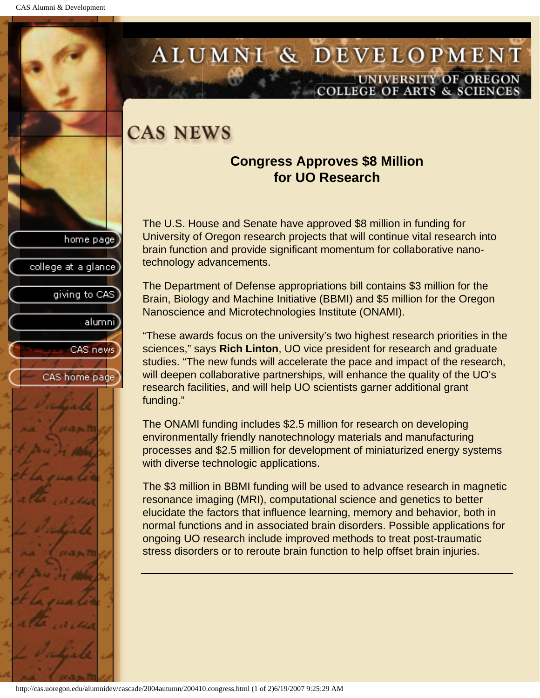college at a glance

giving to CAS

alumnil

CAS news

CAS home page

## <span id="page-15-0"></span>ALUMNI & DEVELOPMENT UNIVERSITY OF OREGON **COLLEGE OF ARTS & SCIENCE**

# **CAS NEWS**

### **Congress Approves \$8 Million for UO Research**

The U.S. House and Senate have approved \$8 million in funding for University of Oregon research projects that will continue vital research into brain function and provide significant momentum for collaborative nanotechnology advancements.

The Department of Defense appropriations bill contains \$3 million for the Brain, Biology and Machine Initiative (BBMI) and \$5 million for the Oregon Nanoscience and Microtechnologies Institute (ONAMI).

"These awards focus on the university's two highest research priorities in the sciences," says **Rich Linton**, UO vice president for research and graduate studies. "The new funds will accelerate the pace and impact of the research, will deepen collaborative partnerships, will enhance the quality of the UO's research facilities, and will help UO scientists garner additional grant funding."

The ONAMI funding includes \$2.5 million for research on developing environmentally friendly nanotechnology materials and manufacturing processes and \$2.5 million for development of miniaturized energy systems with diverse technologic applications.

The \$3 million in BBMI funding will be used to advance research in magnetic resonance imaging (MRI), computational science and genetics to better elucidate the factors that influence learning, memory and behavior, both in normal functions and in associated brain disorders. Possible applications for ongoing UO research include improved methods to treat post-traumatic stress disorders or to reroute brain function to help offset brain injuries.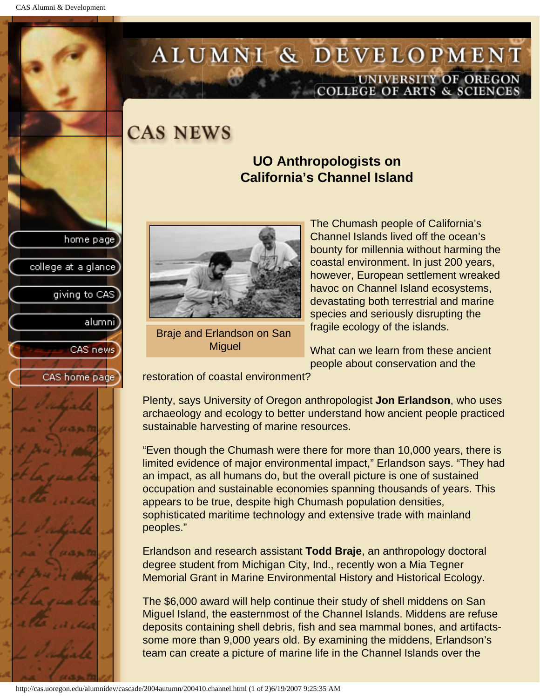college at a glance]

giving to CAS

alumni

CAS news

CAS home page

# <span id="page-16-0"></span>ALUMNI & DEVELOPMENT UNIVERSITY OF OREGON<br>COLLEGE OF ARTS & SCIENCES

**CAS NEWS** 

### **UO Anthropologists on California's Channel Island**



Braje and Erlandson on San **Miguel** 

The Chumash people of California's Channel Islands lived off the ocean's bounty for millennia without harming the coastal environment. In just 200 years, however, European settlement wreaked havoc on Channel Island ecosystems, devastating both terrestrial and marine species and seriously disrupting the fragile ecology of the islands.

What can we learn from these ancient people about conservation and the

restoration of coastal environment?

Plenty, says University of Oregon anthropologist **Jon Erlandson**, who uses archaeology and ecology to better understand how ancient people practiced sustainable harvesting of marine resources.

"Even though the Chumash were there for more than 10,000 years, there is limited evidence of major environmental impact," Erlandson says. "They had an impact, as all humans do, but the overall picture is one of sustained occupation and sustainable economies spanning thousands of years. This appears to be true, despite high Chumash population densities, sophisticated maritime technology and extensive trade with mainland peoples."

Erlandson and research assistant **Todd Braje**, an anthropology doctoral degree student from Michigan City, Ind., recently won a Mia Tegner Memorial Grant in Marine Environmental History and Historical Ecology.

The \$6,000 award will help continue their study of shell middens on San Miguel Island, the easternmost of the Channel Islands. Middens are refuse deposits containing shell debris, fish and sea mammal bones, and artifactssome more than 9,000 years old. By examining the middens, Erlandson's team can create a picture of marine life in the Channel Islands over the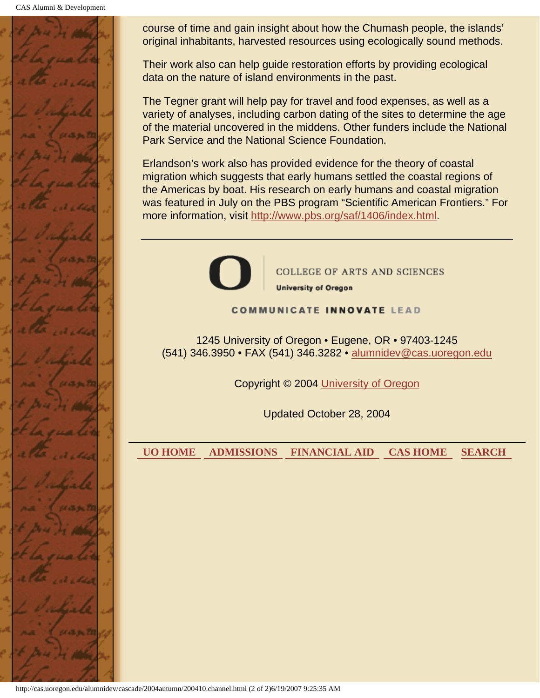CAS Alumni & Development



course of time and gain insight about how the Chumash people, the islands' original inhabitants, harvested resources using ecologically sound methods.

Their work also can help guide restoration efforts by providing ecological data on the nature of island environments in the past.

The Tegner grant will help pay for travel and food expenses, as well as a variety of analyses, including carbon dating of the sites to determine the age of the material uncovered in the middens. Other funders include the National Park Service and the National Science Foundation.

Erlandson's work also has provided evidence for the theory of coastal migration which suggests that early humans settled the coastal regions of the Americas by boat. His research on early humans and coastal migration was featured in July on the PBS program "Scientific American Frontiers." For more information, visit http://www.pbs.org/saf/1406/index.html.



**COLLEGE OF ARTS AND SCIENCES University of Oregon** 

#### **COMMUNICATE INNOVATE LEAD**

1245 University of Oregon • Eugene, OR • 97403-1245 (541) 346.3950 • FAX (541) 346.3282 • alumnidev@cas.uoregon.edu

Copyright © 2004 University of Oregon

Updated October 28, 2004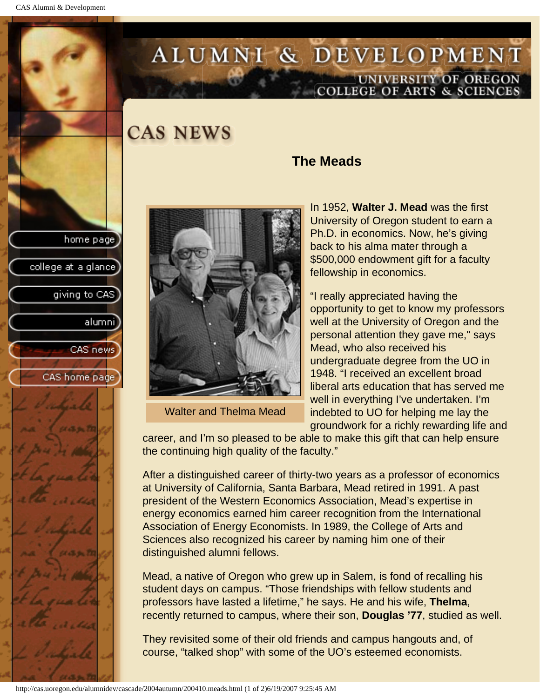<span id="page-18-0"></span>CAS Alumni & Development

# ALUMNI & DEVELOPMENT UNIVERSITY OF OREGON<br>COLLEGE OF ARTS & SCIENCES

## **CAS NEWS**





Walter and Thelma Mead

### **The Meads**

In 1952, **Walter J. Mead** was the first University of Oregon student to earn a Ph.D. in economics. Now, he's giving back to his alma mater through a \$500,000 endowment gift for a faculty fellowship in economics.

"I really appreciated having the opportunity to get to know my professors well at the University of Oregon and the personal attention they gave me," says Mead, who also received his undergraduate degree from the UO in 1948. "I received an excellent broad liberal arts education that has served me well in everything I've undertaken. I'm indebted to UO for helping me lay the groundwork for a richly rewarding life and

career, and I'm so pleased to be able to make this gift that can help ensure the continuing high quality of the faculty."

After a distinguished career of thirty-two years as a professor of economics at University of California, Santa Barbara, Mead retired in 1991. A past president of the Western Economics Association, Mead's expertise in energy economics earned him career recognition from the International Association of Energy Economists. In 1989, the College of Arts and Sciences also recognized his career by naming him one of their distinguished alumni fellows.

Mead, a native of Oregon who grew up in Salem, is fond of recalling his student days on campus. "Those friendships with fellow students and professors have lasted a lifetime," he says. He and his wife, **Thelma**, recently returned to campus, where their son, **Douglas '77**, studied as well.

They revisited some of their old friends and campus hangouts and, of course, "talked shop" with some of the UO's esteemed economists.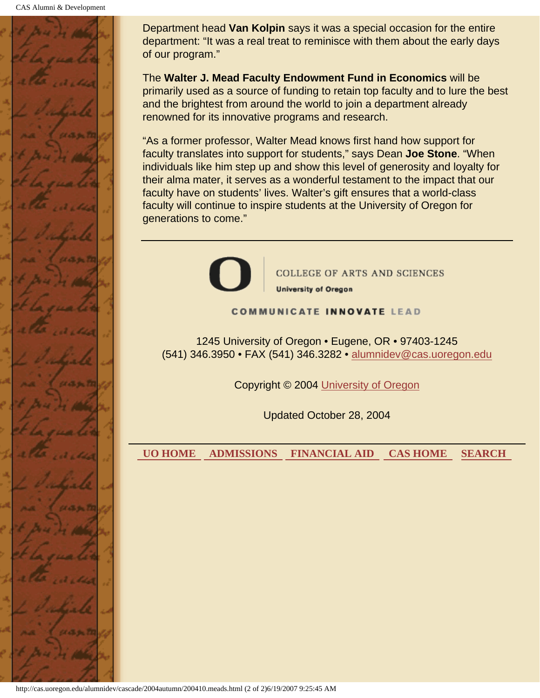

Department head **Van Kolpin** says it was a special occasion for the entire department: "It was a real treat to reminisce with them about the early days of our program."

The **Walter J. Mead Faculty Endowment Fund in Economics** will be primarily used as a source of funding to retain top faculty and to lure the best and the brightest from around the world to join a department already renowned for its innovative programs and research.

"As a former professor, Walter Mead knows first hand how support for faculty translates into support for students," says Dean **Joe Stone**. "When individuals like him step up and show this level of generosity and loyalty for their alma mater, it serves as a wonderful testament to the impact that our faculty have on students' lives. Walter's gift ensures that a world-class faculty will continue to inspire students at the University of Oregon for generations to come."



**COLLEGE OF ARTS AND SCIENCES University of Oregon** 

#### **COMMUNICATE INNOVATE LEAD**

1245 University of Oregon • Eugene, OR • 97403-1245 (541) 346.3950 • FAX (541) 346.3282 • alumnidev@cas.uoregon.edu

Copyright © 2004 University of Oregon

Updated October 28, 2004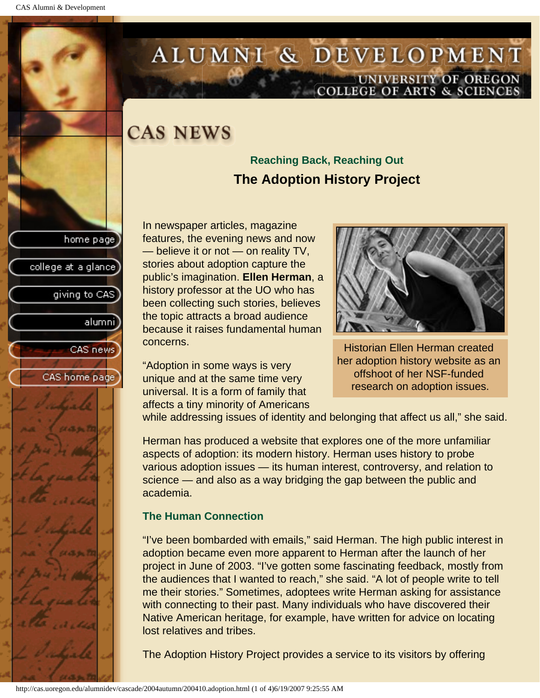college at a glance

giving to CAS

alumni

CAS news

CAS home page

# <span id="page-20-0"></span>ALUMNI & DEVELOPMENT UNIVERSITY OF OREGON<br>COLLEGE OF ARTS & SCIENCES

# **CAS NEWS**

### **Reaching Back, Reaching Out The Adoption History Project**

In newspaper articles, magazine features, the evening news and now — believe it or not — on reality TV, stories about adoption capture the public's imagination. **Ellen Herman**, a history professor at the UO who has been collecting such stories, believes the topic attracts a broad audience because it raises fundamental human concerns.

"Adoption in some ways is very unique and at the same time very universal. It is a form of family that affects a tiny minority of Americans



Historian Ellen Herman created her adoption history website as an offshoot of her NSF-funded research on adoption issues.

while addressing issues of identity and belonging that affect us all," she said.

Herman has produced a website that explores one of the more unfamiliar aspects of adoption: its modern history. Herman uses history to probe various adoption issues — its human interest, controversy, and relation to science — and also as a way bridging the gap between the public and academia.

### **The Human Connection**

"I've been bombarded with emails," said Herman. The high public interest in adoption became even more apparent to Herman after the launch of her project in June of 2003. "I've gotten some fascinating feedback, mostly from the audiences that I wanted to reach," she said. "A lot of people write to tell me their stories." Sometimes, adoptees write Herman asking for assistance with connecting to their past. Many individuals who have discovered their Native American heritage, for example, have written for advice on locating lost relatives and tribes.

The Adoption History Project provides a service to its visitors by offering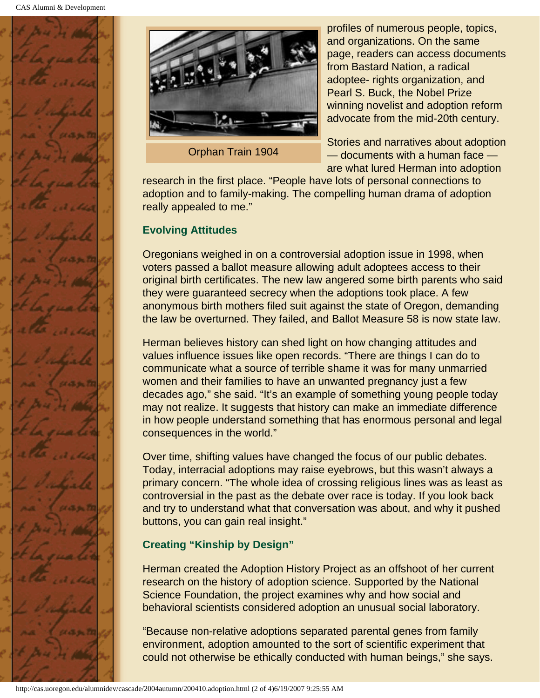



Orphan Train 1904

profiles of numerous people, topics, and organizations. On the same page, readers can access documents from Bastard Nation, a radical adoptee- rights organization, and Pearl S. Buck, the Nobel Prize winning novelist and adoption reform advocate from the mid-20th century.

Stories and narratives about adoption — documents with a human face are what lured Herman into adoption

research in the first place. "People have lots of personal connections to adoption and to family-making. The compelling human drama of adoption really appealed to me."

### **Evolving Attitudes**

Oregonians weighed in on a controversial adoption issue in 1998, when voters passed a ballot measure allowing adult adoptees access to their original birth certificates. The new law angered some birth parents who said they were guaranteed secrecy when the adoptions took place. A few anonymous birth mothers filed suit against the state of Oregon, demanding the law be overturned. They failed, and Ballot Measure 58 is now state law.

Herman believes history can shed light on how changing attitudes and values influence issues like open records. "There are things I can do to communicate what a source of terrible shame it was for many unmarried women and their families to have an unwanted pregnancy just a few decades ago," she said. "It's an example of something young people today may not realize. It suggests that history can make an immediate difference in how people understand something that has enormous personal and legal consequences in the world."

Over time, shifting values have changed the focus of our public debates. Today, interracial adoptions may raise eyebrows, but this wasn't always a primary concern. "The whole idea of crossing religious lines was as least as controversial in the past as the debate over race is today. If you look back and try to understand what that conversation was about, and why it pushed buttons, you can gain real insight."

### **Creating "Kinship by Design"**

Herman created the Adoption History Project as an offshoot of her current research on the history of adoption science. Supported by the National Science Foundation, the project examines why and how social and behavioral scientists considered adoption an unusual social laboratory.

"Because non-relative adoptions separated parental genes from family environment, adoption amounted to the sort of scientific experiment that could not otherwise be ethically conducted with human beings," she says.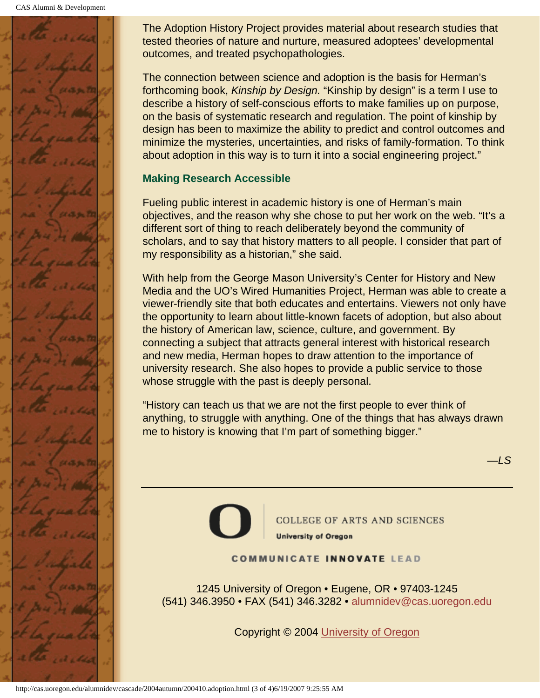CAS Alumni & Development



The Adoption History Project provides material about research studies that tested theories of nature and nurture, measured adoptees' developmental outcomes, and treated psychopathologies.

The connection between science and adoption is the basis for Herman's forthcoming book, *Kinship by Design.* "Kinship by design" is a term I use to describe a history of self-conscious efforts to make families up on purpose, on the basis of systematic research and regulation. The point of kinship by design has been to maximize the ability to predict and control outcomes and minimize the mysteries, uncertainties, and risks of family-formation. To think about adoption in this way is to turn it into a social engineering project."

### **Making Research Accessible**

Fueling public interest in academic history is one of Herman's main objectives, and the reason why she chose to put her work on the web. "It's a different sort of thing to reach deliberately beyond the community of scholars, and to say that history matters to all people. I consider that part of my responsibility as a historian," she said.

With help from the George Mason University's Center for History and New Media and the UO's Wired Humanities Project, Herman was able to create a viewer-friendly site that both educates and entertains. Viewers not only have the opportunity to learn about little-known facets of adoption, but also about the history of American law, science, culture, and government. By connecting a subject that attracts general interest with historical research and new media, Herman hopes to draw attention to the importance of university research. She also hopes to provide a public service to those whose struggle with the past is deeply personal.

"History can teach us that we are not the first people to ever think of anything, to struggle with anything. One of the things that has always drawn me to history is knowing that I'm part of something bigger."

*—LS*



COLLEGE OF ARTS AND SCIENCES **University of Oregon** 

### **COMMUNICATE INNOVATE LEAD**

1245 University of Oregon • Eugene, OR • 97403-1245 (541) 346.3950 • FAX (541) 346.3282 • alumnidev@cas.uoregon.edu

Copyright © 2004 University of Oregon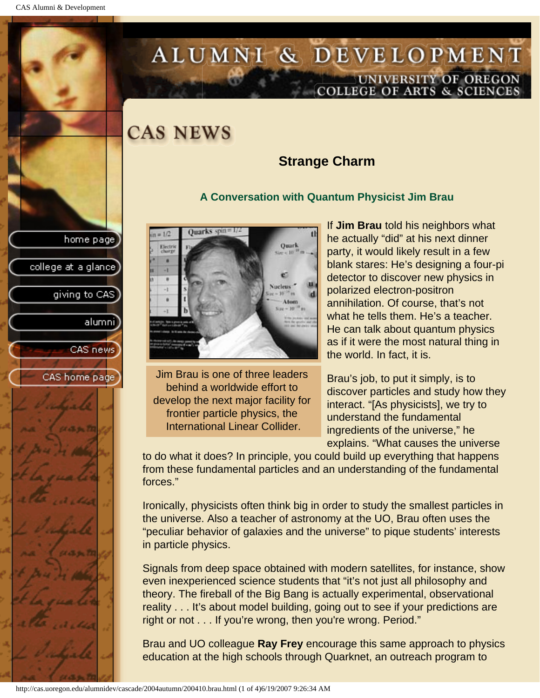# <span id="page-23-0"></span>ALUMNI & DEVELOPMENT UNIVERSITY OF OREGON<br>COLLEGE OF ARTS & SCIENCES

## **CAS NEWS**

### **Strange Charm**

#### **A Conversation with Quantum Physicist Jim Brau**



Jim Brau is one of three leaders behind a worldwide effort to develop the next major facility for frontier particle physics, the International Linear Collider.

If **Jim Brau** told his neighbors what he actually "did" at his next dinner party, it would likely result in a few blank stares: He's designing a four-pi detector to discover new physics in polarized electron-positron annihilation. Of course, that's not what he tells them. He's a teacher. He can talk about quantum physics as if it were the most natural thing in the world. In fact, it is.

Brau's job, to put it simply, is to discover particles and study how they interact. "[As physicists], we try to understand the fundamental ingredients of the universe," he explains. "What causes the universe

to do what it does? In principle, you could build up everything that happens from these fundamental particles and an understanding of the fundamental forces."

Ironically, physicists often think big in order to study the smallest particles in the universe. Also a teacher of astronomy at the UO, Brau often uses the "peculiar behavior of galaxies and the universe" to pique students' interests in particle physics.

Signals from deep space obtained with modern satellites, for instance, show even inexperienced science students that "it's not just all philosophy and theory. The fireball of the Big Bang is actually experimental, observational reality . . . It's about model building, going out to see if your predictions are right or not . . . If you're wrong, then you're wrong. Period."

Brau and UO colleague **Ray Frey** encourage this same approach to physics education at the high schools through Quarknet, an outreach program to

home page

college at a glance

giving to CAS

alumni

CAS news

CAS home page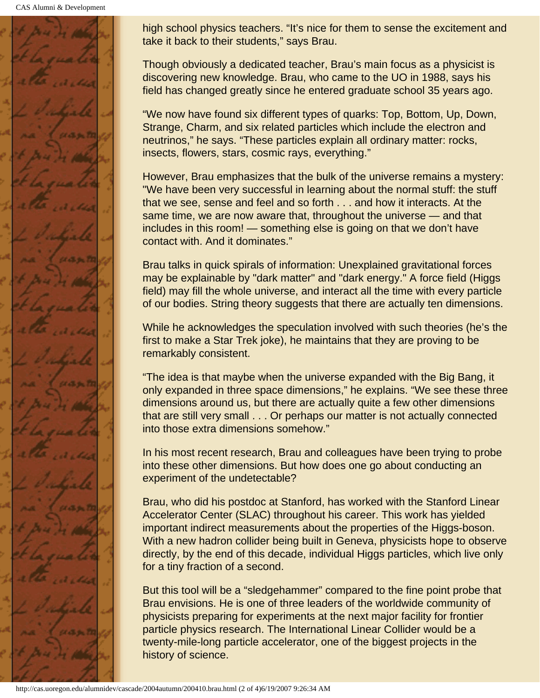CAS Alumni & Development



high school physics teachers. "It's nice for them to sense the excitement and take it back to their students," says Brau.

Though obviously a dedicated teacher, Brau's main focus as a physicist is discovering new knowledge. Brau, who came to the UO in 1988, says his field has changed greatly since he entered graduate school 35 years ago.

"We now have found six different types of quarks: Top, Bottom, Up, Down, Strange, Charm, and six related particles which include the electron and neutrinos," he says. "These particles explain all ordinary matter: rocks, insects, flowers, stars, cosmic rays, everything."

However, Brau emphasizes that the bulk of the universe remains a mystery: "We have been very successful in learning about the normal stuff: the stuff that we see, sense and feel and so forth . . . and how it interacts. At the same time, we are now aware that, throughout the universe — and that includes in this room! — something else is going on that we don't have contact with. And it dominates."

Brau talks in quick spirals of information: Unexplained gravitational forces may be explainable by "dark matter" and "dark energy." A force field (Higgs field) may fill the whole universe, and interact all the time with every particle of our bodies. String theory suggests that there are actually ten dimensions.

While he acknowledges the speculation involved with such theories (he's the first to make a Star Trek joke), he maintains that they are proving to be remarkably consistent.

"The idea is that maybe when the universe expanded with the Big Bang, it only expanded in three space dimensions," he explains. "We see these three dimensions around us, but there are actually quite a few other dimensions that are still very small . . . Or perhaps our matter is not actually connected into those extra dimensions somehow."

In his most recent research, Brau and colleagues have been trying to probe into these other dimensions. But how does one go about conducting an experiment of the undetectable?

Brau, who did his postdoc at Stanford, has worked with the Stanford Linear Accelerator Center (SLAC) throughout his career. This work has yielded important indirect measurements about the properties of the Higgs-boson. With a new hadron collider being built in Geneva, physicists hope to observe directly, by the end of this decade, individual Higgs particles, which live only for a tiny fraction of a second.

But this tool will be a "sledgehammer" compared to the fine point probe that Brau envisions. He is one of three leaders of the worldwide community of physicists preparing for experiments at the next major facility for frontier particle physics research. The International Linear Collider would be a twenty-mile-long particle accelerator, one of the biggest projects in the history of science.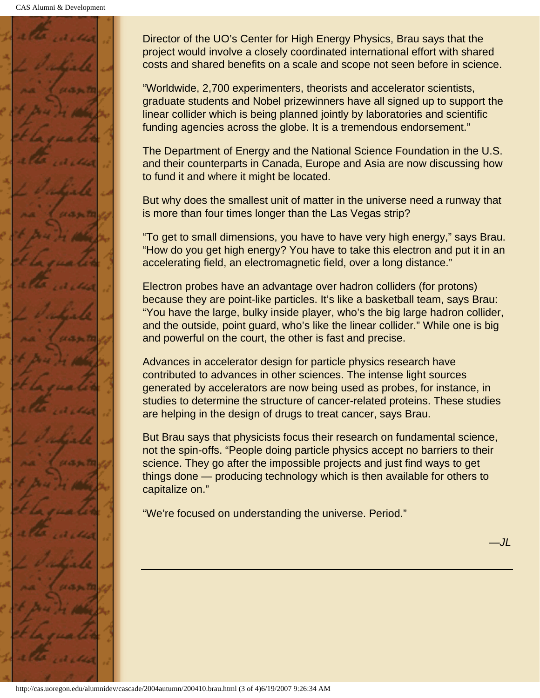

Director of the UO's Center for High Energy Physics, Brau says that the project would involve a closely coordinated international effort with shared costs and shared benefits on a scale and scope not seen before in science.

"Worldwide, 2,700 experimenters, theorists and accelerator scientists, graduate students and Nobel prizewinners have all signed up to support the linear collider which is being planned jointly by laboratories and scientific funding agencies across the globe. It is a tremendous endorsement."

The Department of Energy and the National Science Foundation in the U.S. and their counterparts in Canada, Europe and Asia are now discussing how to fund it and where it might be located.

But why does the smallest unit of matter in the universe need a runway that is more than four times longer than the Las Vegas strip?

"To get to small dimensions, you have to have very high energy," says Brau. "How do you get high energy? You have to take this electron and put it in an accelerating field, an electromagnetic field, over a long distance."

Electron probes have an advantage over hadron colliders (for protons) because they are point-like particles. It's like a basketball team, says Brau: "You have the large, bulky inside player, who's the big large hadron collider, and the outside, point guard, who's like the linear collider." While one is big and powerful on the court, the other is fast and precise.

Advances in accelerator design for particle physics research have contributed to advances in other sciences. The intense light sources generated by accelerators are now being used as probes, for instance, in studies to determine the structure of cancer-related proteins. These studies are helping in the design of drugs to treat cancer, says Brau.

But Brau says that physicists focus their research on fundamental science, not the spin-offs. "People doing particle physics accept no barriers to their science. They go after the impossible projects and just find ways to get things done — producing technology which is then available for others to capitalize on."

"We're focused on understanding the universe. Period."

*—JL*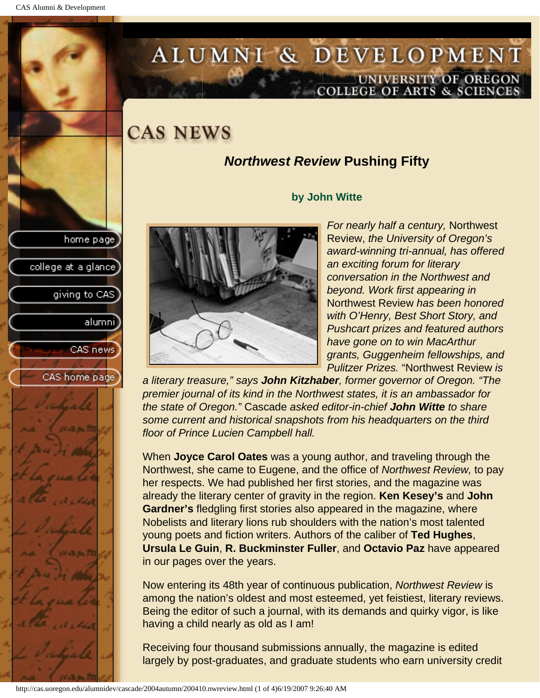# <span id="page-26-0"></span>ALUMNI & DEVELOPMENT UNIVERSITY OF OREGON<br>COLLEGE OF ARTS & SCIENCES

# **CAS NEWS**

### *Northwest Review* **Pushing Fifty**

#### **by John Witte**

*For nearly half a century,* Northwest Review, *the University of Oregon's award-winning tri-annual, has offered an exciting forum for literary conversation in the Northwest and beyond. Work first appearing in*  Northwest Review *has been honored with O'Henry, Best Short Story, and Pushcart prizes and featured authors have gone on to win MacArthur grants, Guggenheim fellowships, and Pulitzer Prizes.* "Northwest Review *is* 

*a literary treasure," says John Kitzhaber, former governor of Oregon. "The premier journal of its kind in the Northwest states, it is an ambassador for the state of Oregon."* Cascade *asked editor-in-chief John Witte to share some current and historical snapshots from his headquarters on the third floor of Prince Lucien Campbell hall.*

When **Joyce Carol Oates** was a young author, and traveling through the Northwest, she came to Eugene, and the office of *Northwest Review,* to pay her respects. We had published her first stories, and the magazine was already the literary center of gravity in the region. **Ken Kesey's** and **John Gardner's** fledgling first stories also appeared in the magazine, where Nobelists and literary lions rub shoulders with the nation's most talented young poets and fiction writers. Authors of the caliber of **Ted Hughes**, **Ursula Le Guin**, **R. Buckminster Fuller**, and **Octavio Paz** have appeared in our pages over the years.

Now entering its 48th year of continuous publication, *Northwest Review* is among the nation's oldest and most esteemed, yet feistiest, literary reviews. Being the editor of such a journal, with its demands and quirky vigor, is like having a child nearly as old as I am!

Receiving four thousand submissions annually, the magazine is edited largely by post-graduates, and graduate students who earn university credit

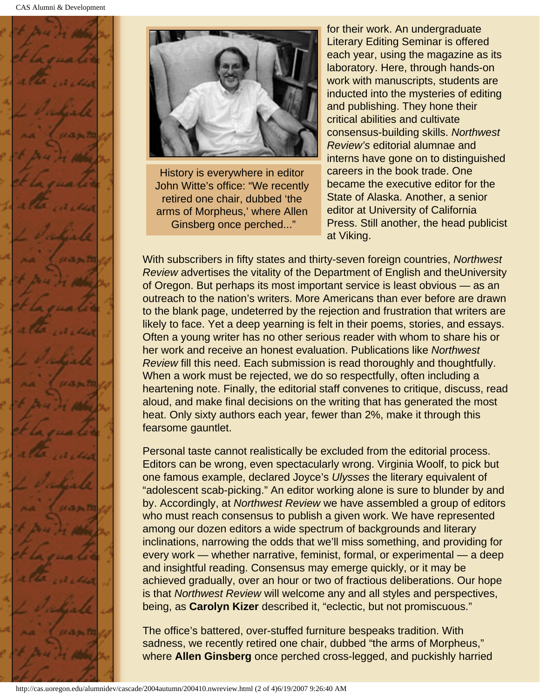



History is everywhere in editor John Witte's office: "We recently retired one chair, dubbed 'the arms of Morpheus,' where Allen Ginsberg once perched..."

for their work. An undergraduate Literary Editing Seminar is offered each year, using the magazine as its laboratory. Here, through hands-on work with manuscripts, students are inducted into the mysteries of editing and publishing. They hone their critical abilities and cultivate consensus-building skills. *Northwest Review's* editorial alumnae and interns have gone on to distinguished careers in the book trade. One became the executive editor for the State of Alaska. Another, a senior editor at University of California Press. Still another, the head publicist at Viking.

With subscribers in fifty states and thirty-seven foreign countries, *Northwest Review* advertises the vitality of the Department of English and theUniversity of Oregon. But perhaps its most important service is least obvious — as an outreach to the nation's writers. More Americans than ever before are drawn to the blank page, undeterred by the rejection and frustration that writers are likely to face. Yet a deep yearning is felt in their poems, stories, and essays. Often a young writer has no other serious reader with whom to share his or her work and receive an honest evaluation. Publications like *Northwest Review* fill this need. Each submission is read thoroughly and thoughtfully. When a work must be rejected, we do so respectfully, often including a heartening note. Finally, the editorial staff convenes to critique, discuss, read aloud, and make final decisions on the writing that has generated the most heat. Only sixty authors each year, fewer than 2%, make it through this fearsome gauntlet.

Personal taste cannot realistically be excluded from the editorial process. Editors can be wrong, even spectacularly wrong. Virginia Woolf, to pick but one famous example, declared Joyce's *Ulysses* the literary equivalent of "adolescent scab-picking." An editor working alone is sure to blunder by and by. Accordingly, at *Northwest Review* we have assembled a group of editors who must reach consensus to publish a given work. We have represented among our dozen editors a wide spectrum of backgrounds and literary inclinations, narrowing the odds that we'll miss something, and providing for every work — whether narrative, feminist, formal, or experimental — a deep and insightful reading. Consensus may emerge quickly, or it may be achieved gradually, over an hour or two of fractious deliberations. Our hope is that *Northwest Review* will welcome any and all styles and perspectives, being, as **Carolyn Kizer** described it, "eclectic, but not promiscuous."

The office's battered, over-stuffed furniture bespeaks tradition. With sadness, we recently retired one chair, dubbed "the arms of Morpheus," where **Allen Ginsberg** once perched cross-legged, and puckishly harried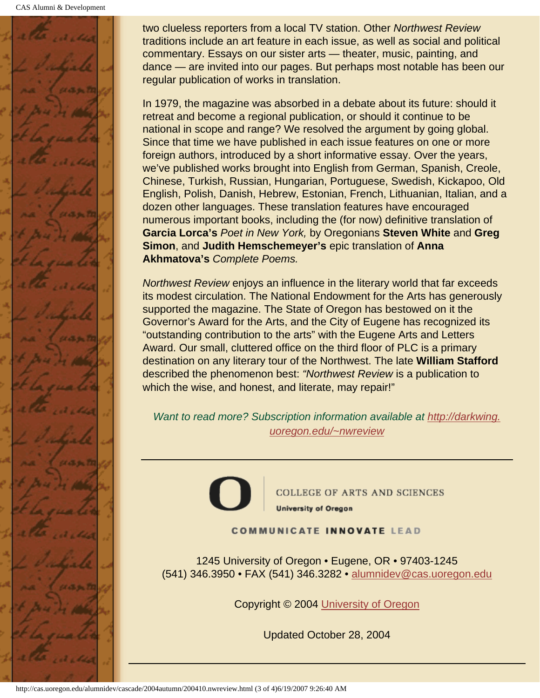

two clueless reporters from a local TV station. Other *Northwest Review* traditions include an art feature in each issue, as well as social and political commentary. Essays on our sister arts — theater, music, painting, and dance — are invited into our pages. But perhaps most notable has been our regular publication of works in translation.

In 1979, the magazine was absorbed in a debate about its future: should it retreat and become a regional publication, or should it continue to be national in scope and range? We resolved the argument by going global. Since that time we have published in each issue features on one or more foreign authors, introduced by a short informative essay. Over the years, we've published works brought into English from German, Spanish, Creole, Chinese, Turkish, Russian, Hungarian, Portuguese, Swedish, Kickapoo, Old English, Polish, Danish, Hebrew, Estonian, French, Lithuanian, Italian, and a dozen other languages. These translation features have encouraged numerous important books, including the (for now) definitive translation of **Garcia Lorca's** *Poet in New York,* by Oregonians **Steven White** and **Greg Simon**, and **Judith Hemschemeyer's** epic translation of **Anna Akhmatova's** *Complete Poems.*

*Northwest Review* enjoys an influence in the literary world that far exceeds its modest circulation. The National Endowment for the Arts has generously supported the magazine. The State of Oregon has bestowed on it the Governor's Award for the Arts, and the City of Eugene has recognized its "outstanding contribution to the arts" with the Eugene Arts and Letters Award. Our small, cluttered office on the third floor of PLC is a primary destination on any literary tour of the Northwest. The late **William Stafford** described the phenomenon best: *"Northwest Review* is a publication to which the wise, and honest, and literate, may repair!"

*Want to read more? Subscription information available at http://darkwing. uoregon.edu/~nwreview*



COLLEGE OF ARTS AND SCIENCES **University of Oregon** 

**COMMUNICATE INNOVATE LEAD** 

1245 University of Oregon • Eugene, OR • 97403-1245 (541) 346.3950 • FAX (541) 346.3282 • alumnidev@cas.uoregon.edu

Copyright © 2004 University of Oregon

Updated October 28, 2004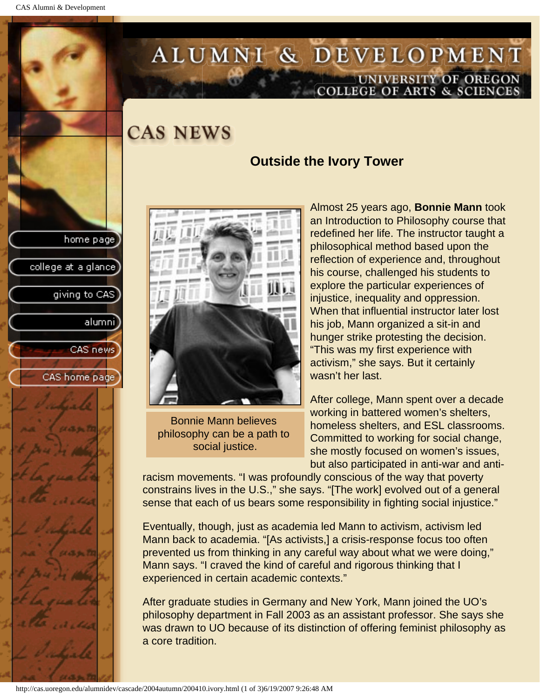college at a glance

giving to CAS

alumnil

CAS news

CAS home page

# <span id="page-29-0"></span>ALUMNI & DEVELOPMENT UNIVERSITY OF OREGON<br>COLLEGE OF ARTS & SCIENCES

**CAS NEWS** 

### **Outside the Ivory Tower**



Bonnie Mann believes philosophy can be a path to social justice.

Almost 25 years ago, **Bonnie Mann** took an Introduction to Philosophy course that redefined her life. The instructor taught a philosophical method based upon the reflection of experience and, throughout his course, challenged his students to explore the particular experiences of injustice, inequality and oppression. When that influential instructor later lost his job, Mann organized a sit-in and hunger strike protesting the decision. "This was my first experience with activism," she says. But it certainly wasn't her last.

After college, Mann spent over a decade working in battered women's shelters, homeless shelters, and ESL classrooms. Committed to working for social change, she mostly focused on women's issues, but also participated in anti-war and anti-

racism movements. "I was profoundly conscious of the way that poverty constrains lives in the U.S.," she says. "[The work] evolved out of a general sense that each of us bears some responsibility in fighting social injustice."

Eventually, though, just as academia led Mann to activism, activism led Mann back to academia. "[As activists,] a crisis-response focus too often prevented us from thinking in any careful way about what we were doing," Mann says. "I craved the kind of careful and rigorous thinking that I experienced in certain academic contexts."

After graduate studies in Germany and New York, Mann joined the UO's philosophy department in Fall 2003 as an assistant professor. She says she was drawn to UO because of its distinction of offering feminist philosophy as a core tradition.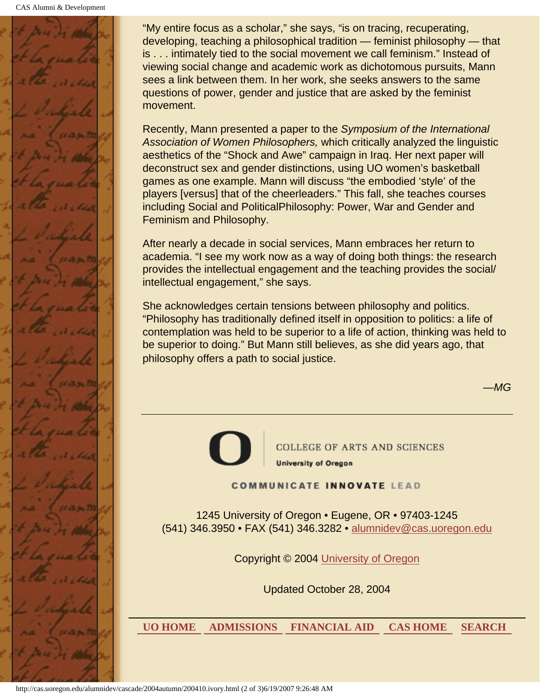

"My entire focus as a scholar," she says, "is on tracing, recuperating, developing, teaching a philosophical tradition — feminist philosophy — that is . . . intimately tied to the social movement we call feminism." Instead of viewing social change and academic work as dichotomous pursuits, Mann sees a link between them. In her work, she seeks answers to the same questions of power, gender and justice that are asked by the feminist movement.

Recently, Mann presented a paper to the *Symposium of the International Association of Women Philosophers,* which critically analyzed the linguistic aesthetics of the "Shock and Awe" campaign in Iraq. Her next paper will deconstruct sex and gender distinctions, using UO women's basketball games as one example. Mann will discuss "the embodied 'style' of the players [versus] that of the cheerleaders." This fall, she teaches courses including Social and PoliticalPhilosophy: Power, War and Gender and Feminism and Philosophy.

After nearly a decade in social services, Mann embraces her return to academia. "I see my work now as a way of doing both things: the research provides the intellectual engagement and the teaching provides the social/ intellectual engagement," she says.

She acknowledges certain tensions between philosophy and politics. "Philosophy has traditionally defined itself in opposition to politics: a life of contemplation was held to be superior to a life of action, thinking was held to be superior to doing." But Mann still believes, as she did years ago, that philosophy offers a path to social justice.

*—MG*



**COLLEGE OF ARTS AND SCIENCES University of Oregon** 

**COMMUNICATE INNOVATE LEAD** 

1245 University of Oregon • Eugene, OR • 97403-1245 (541) 346.3950 • FAX (541) 346.3282 • alumnidev@cas.uoregon.edu

Copyright © 2004 University of Oregon

Updated October 28, 2004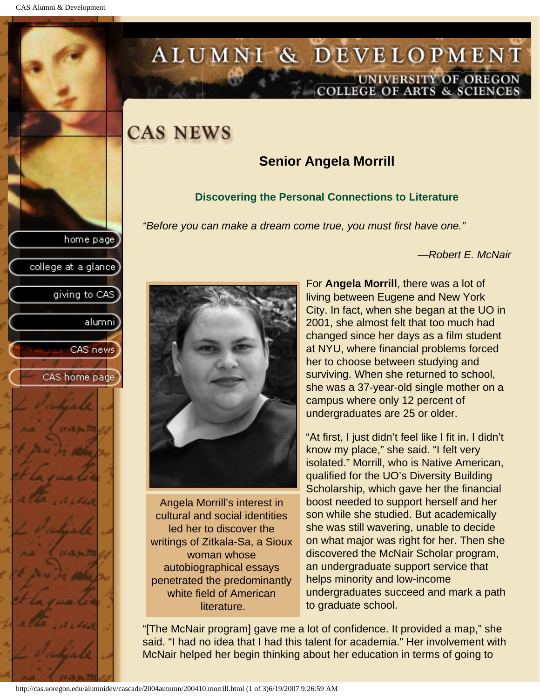college at a glance]

giving to CAS

alumnil

CAS news

CAS home page

# <span id="page-31-0"></span>ALUMNI & DEVELOPMENT UNIVERSITY OF OREGON<br>COLLEGE OF ARTS & SCIENCES

# **CAS NEWS**

### **Senior Angela Morrill**

### **Discovering the Personal Connections to Literature**

*"Before you can make a dream come true, you must first have one."*

*—Robert E. McNair*



Angela Morrill's interest in cultural and social identities led her to discover the writings of Zitkala-Sa, a Sioux woman whose autobiographical essays penetrated the predominantly white field of American literature.

For **Angela Morrill**, there was a lot of living between Eugene and New York City. In fact, when she began at the UO in 2001, she almost felt that too much had changed since her days as a film student at NYU, where financial problems forced her to choose between studying and surviving. When she returned to school, she was a 37-year-old single mother on a campus where only 12 percent of undergraduates are 25 or older.

"At first, I just didn't feel like I fit in. I didn't know my place," she said. "I felt very isolated." Morrill, who is Native American, qualified for the UO's Diversity Building Scholarship, which gave her the financial boost needed to support herself and her son while she studied. But academically she was still wavering, unable to decide on what major was right for her. Then she discovered the McNair Scholar program, an undergraduate support service that helps minority and low-income undergraduates succeed and mark a path to graduate school.

"[The McNair program] gave me a lot of confidence. It provided a map," she said. "I had no idea that I had this talent for academia." Her involvement with McNair helped her begin thinking about her education in terms of going to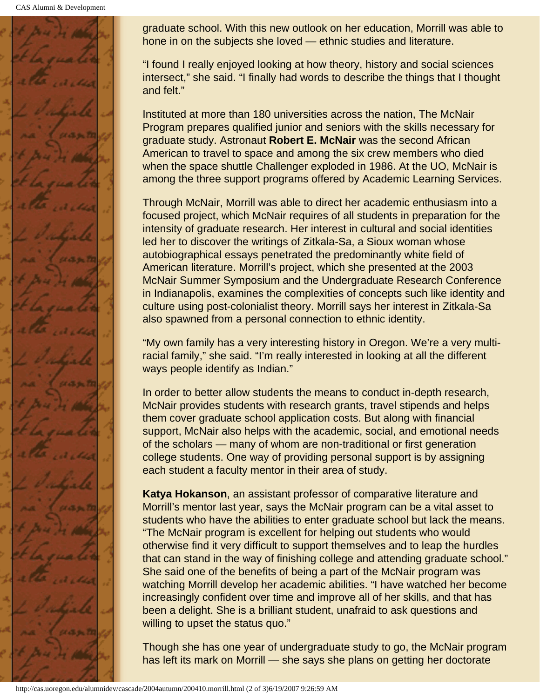CAS Alumni & Development



graduate school. With this new outlook on her education, Morrill was able to hone in on the subjects she loved — ethnic studies and literature.

"I found I really enjoyed looking at how theory, history and social sciences intersect," she said. "I finally had words to describe the things that I thought and felt."

Instituted at more than 180 universities across the nation, The McNair Program prepares qualified junior and seniors with the skills necessary for graduate study. Astronaut **Robert E. McNair** was the second African American to travel to space and among the six crew members who died when the space shuttle Challenger exploded in 1986. At the UO, McNair is among the three support programs offered by Academic Learning Services.

Through McNair, Morrill was able to direct her academic enthusiasm into a focused project, which McNair requires of all students in preparation for the intensity of graduate research. Her interest in cultural and social identities led her to discover the writings of Zitkala-Sa, a Sioux woman whose autobiographical essays penetrated the predominantly white field of American literature. Morrill's project, which she presented at the 2003 McNair Summer Symposium and the Undergraduate Research Conference in Indianapolis, examines the complexities of concepts such like identity and culture using post-colonialist theory. Morrill says her interest in Zitkala-Sa also spawned from a personal connection to ethnic identity.

"My own family has a very interesting history in Oregon. We're a very multiracial family," she said. "I'm really interested in looking at all the different ways people identify as Indian."

In order to better allow students the means to conduct in-depth research, McNair provides students with research grants, travel stipends and helps them cover graduate school application costs. But along with financial support, McNair also helps with the academic, social, and emotional needs of the scholars — many of whom are non-traditional or first generation college students. One way of providing personal support is by assigning each student a faculty mentor in their area of study.

**Katya Hokanson**, an assistant professor of comparative literature and Morrill's mentor last year, says the McNair program can be a vital asset to students who have the abilities to enter graduate school but lack the means. "The McNair program is excellent for helping out students who would otherwise find it very difficult to support themselves and to leap the hurdles that can stand in the way of finishing college and attending graduate school." She said one of the benefits of being a part of the McNair program was watching Morrill develop her academic abilities. "I have watched her become increasingly confident over time and improve all of her skills, and that has been a delight. She is a brilliant student, unafraid to ask questions and willing to upset the status quo."

Though she has one year of undergraduate study to go, the McNair program has left its mark on Morrill — she says she plans on getting her doctorate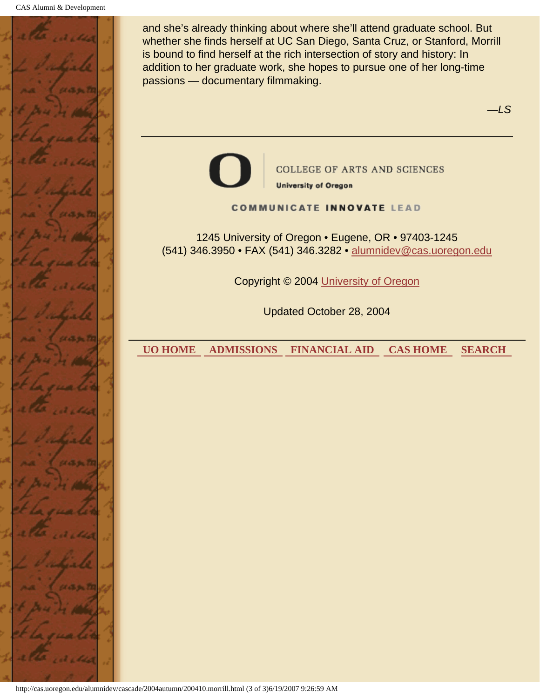

and she's already thinking about where she'll attend graduate school. But whether she finds herself at UC San Diego, Santa Cruz, or Stanford, Morrill is bound to find herself at the rich intersection of story and history: In addition to her graduate work, she hopes to pursue one of her long-time passions — documentary filmmaking.

*—LS*



**COLLEGE OF ARTS AND SCIENCES** 

**University of Oregon** 

#### **COMMUNICATE INNOVATE LEAD**

1245 University of Oregon • Eugene, OR • 97403-1245 (541) 346.3950 • FAX (541) 346.3282 • alumnidev@cas.uoregon.edu

Copyright © 2004 University of Oregon

Updated October 28, 2004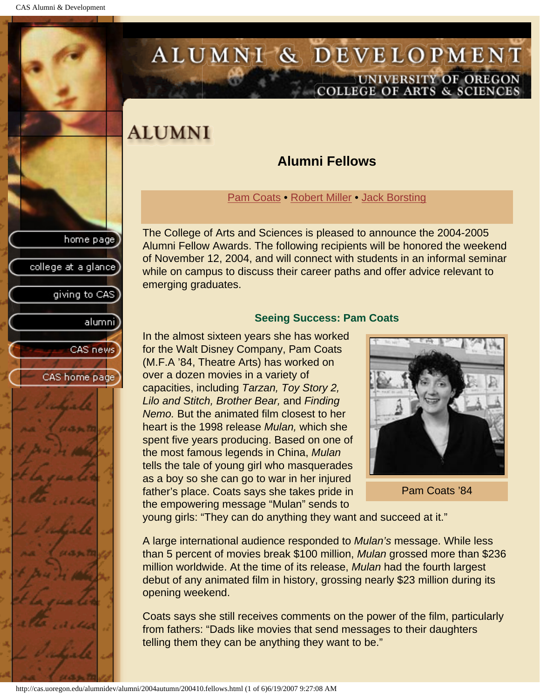<span id="page-34-1"></span>college at a glance

giving to CAS

alumnil

CAS news

CAS home page

# <span id="page-34-0"></span>ALUMNI & DEVELOPMENT UNIVERSITY OF OREGON<br>COLLEGE OF ARTS & SCIENCES

# **ALUMNI**

### **Alumni Fellows**

[Pam Coats](#page-34-1) • [Robert Miller](#page-35-0) • [Jack Borsting](#page-37-0)

The College of Arts and Sciences is pleased to announce the 2004-2005 Alumni Fellow Awards. The following recipients will be honored the weekend of November 12, 2004, and will connect with students in an informal seminar while on campus to discuss their career paths and offer advice relevant to emerging graduates.

#### **Seeing Success: Pam Coats**

In the almost sixteen years she has worked for the Walt Disney Company, Pam Coats (M.F.A '84, Theatre Arts) has worked on over a dozen movies in a variety of capacities, including *Tarzan, Toy Story 2, Lilo and Stitch, Brother Bear,* and *Finding Nemo.* But the animated film closest to her heart is the 1998 release *Mulan,* which she spent five years producing. Based on one of the most famous legends in China, *Mulan* tells the tale of young girl who masquerades as a boy so she can go to war in her injured father's place. Coats says she takes pride in the empowering message "Mulan" sends to



Pam Coats '84

young girls: "They can do anything they want and succeed at it."

A large international audience responded to *Mulan's* message. While less than 5 percent of movies break \$100 million, *Mulan* grossed more than \$236 million worldwide. At the time of its release, *Mulan* had the fourth largest debut of any animated film in history, grossing nearly \$23 million during its opening weekend.

Coats says she still receives comments on the power of the film, particularly from fathers: "Dads like movies that send messages to their daughters telling them they can be anything they want to be."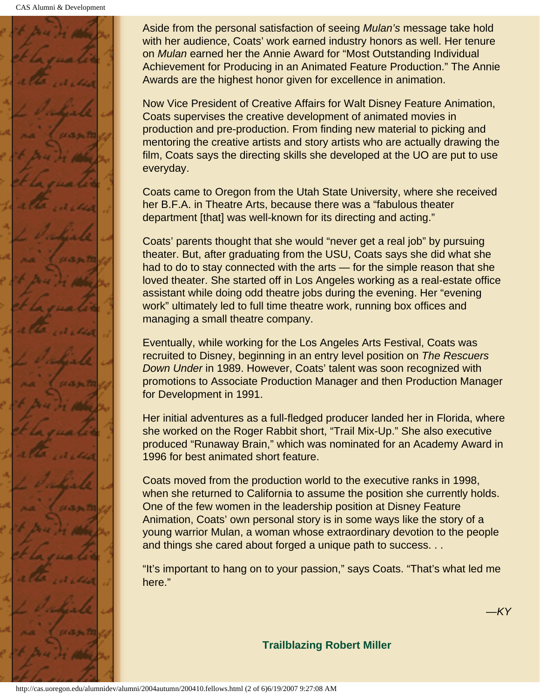

Aside from the personal satisfaction of seeing *Mulan's* message take hold with her audience, Coats' work earned industry honors as well. Her tenure on *Mulan* earned her the Annie Award for "Most Outstanding Individual Achievement for Producing in an Animated Feature Production." The Annie Awards are the highest honor given for excellence in animation.

Now Vice President of Creative Affairs for Walt Disney Feature Animation, Coats supervises the creative development of animated movies in production and pre-production. From finding new material to picking and mentoring the creative artists and story artists who are actually drawing the film, Coats says the directing skills she developed at the UO are put to use everyday.

Coats came to Oregon from the Utah State University, where she received her B.F.A. in Theatre Arts, because there was a "fabulous theater department [that] was well-known for its directing and acting."

Coats' parents thought that she would "never get a real job" by pursuing theater. But, after graduating from the USU, Coats says she did what she had to do to stay connected with the arts — for the simple reason that she loved theater. She started off in Los Angeles working as a real-estate office assistant while doing odd theatre jobs during the evening. Her "evening work" ultimately led to full time theatre work, running box offices and managing a small theatre company.

Eventually, while working for the Los Angeles Arts Festival, Coats was recruited to Disney, beginning in an entry level position on *The Rescuers Down Under* in 1989. However, Coats' talent was soon recognized with promotions to Associate Production Manager and then Production Manager for Development in 1991.

Her initial adventures as a full-fledged producer landed her in Florida, where she worked on the Roger Rabbit short, "Trail Mix-Up." She also executive produced "Runaway Brain," which was nominated for an Academy Award in 1996 for best animated short feature.

Coats moved from the production world to the executive ranks in 1998, when she returned to California to assume the position she currently holds. One of the few women in the leadership position at Disney Feature Animation, Coats' own personal story is in some ways like the story of a young warrior Mulan, a woman whose extraordinary devotion to the people and things she cared about forged a unique path to success. . .

<span id="page-35-0"></span>"It's important to hang on to your passion," says Coats. "That's what led me here."

*—KY*

**Trailblazing Robert Miller**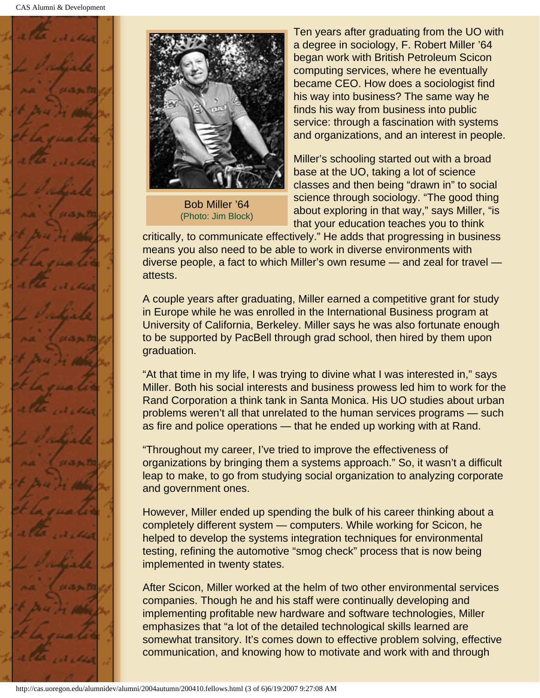



Bob Miller '64 (Photo: Jim Block)

Ten years after graduating from the UO with a degree in sociology, F. Robert Miller '64 began work with British Petroleum Scicon computing services, where he eventually became CEO. How does a sociologist find his way into business? The same way he finds his way from business into public service: through a fascination with systems and organizations, and an interest in people.

Miller's schooling started out with a broad base at the UO, taking a lot of science classes and then being "drawn in" to social science through sociology. "The good thing about exploring in that way," says Miller, "is that your education teaches you to think

critically, to communicate effectively." He adds that progressing in business means you also need to be able to work in diverse environments with diverse people, a fact to which Miller's own resume — and zeal for travel attests.

A couple years after graduating, Miller earned a competitive grant for study in Europe while he was enrolled in the International Business program at University of California, Berkeley. Miller says he was also fortunate enough to be supported by PacBell through grad school, then hired by them upon graduation.

"At that time in my life, I was trying to divine what I was interested in," says Miller. Both his social interests and business prowess led him to work for the Rand Corporation a think tank in Santa Monica. His UO studies about urban problems weren't all that unrelated to the human services programs — such as fire and police operations — that he ended up working with at Rand.

"Throughout my career, I've tried to improve the effectiveness of organizations by bringing them a systems approach." So, it wasn't a difficult leap to make, to go from studying social organization to analyzing corporate and government ones.

However, Miller ended up spending the bulk of his career thinking about a completely different system — computers. While working for Scicon, he helped to develop the systems integration techniques for environmental testing, refining the automotive "smog check" process that is now being implemented in twenty states.

After Scicon, Miller worked at the helm of two other environmental services companies. Though he and his staff were continually developing and implementing profitable new hardware and software technologies, Miller emphasizes that "a lot of the detailed technological skills learned are somewhat transitory. It's comes down to effective problem solving, effective communication, and knowing how to motivate and work with and through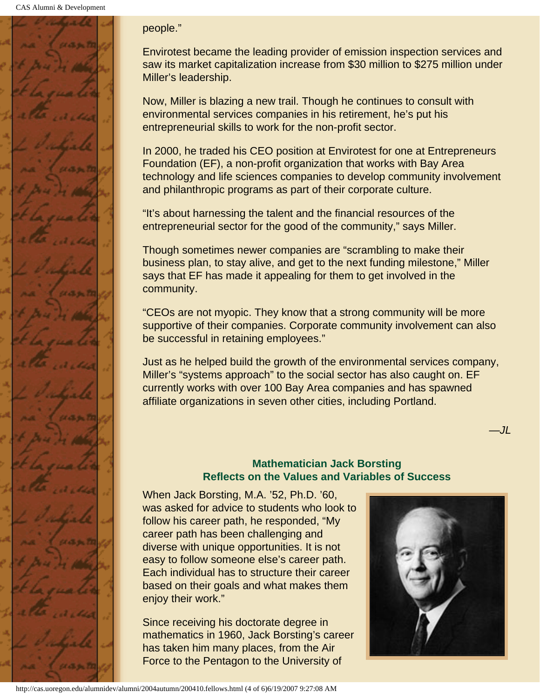

#### people."

Envirotest became the leading provider of emission inspection services and saw its market capitalization increase from \$30 million to \$275 million under Miller's leadership.

Now, Miller is blazing a new trail. Though he continues to consult with environmental services companies in his retirement, he's put his entrepreneurial skills to work for the non-profit sector.

In 2000, he traded his CEO position at Envirotest for one at Entrepreneurs Foundation (EF), a non-profit organization that works with Bay Area technology and life sciences companies to develop community involvement and philanthropic programs as part of their corporate culture.

"It's about harnessing the talent and the financial resources of the entrepreneurial sector for the good of the community," says Miller.

Though sometimes newer companies are "scrambling to make their business plan, to stay alive, and get to the next funding milestone," Miller says that EF has made it appealing for them to get involved in the community.

"CEOs are not myopic. They know that a strong community will be more supportive of their companies. Corporate community involvement can also be successful in retaining employees."

Just as he helped build the growth of the environmental services company, Miller's "systems approach" to the social sector has also caught on. EF currently works with over 100 Bay Area companies and has spawned affiliate organizations in seven other cities, including Portland.

> **Mathematician Jack Borsting Reflects on the Values and Variables of Success**

<span id="page-37-0"></span>When Jack Borsting, M.A. '52, Ph.D. '60, was asked for advice to students who look to follow his career path, he responded, "My career path has been challenging and diverse with unique opportunities. It is not easy to follow someone else's career path. Each individual has to structure their career based on their goals and what makes them enjoy their work."

Since receiving his doctorate degree in mathematics in 1960, Jack Borsting's career has taken him many places, from the Air Force to the Pentagon to the University of



*—JL*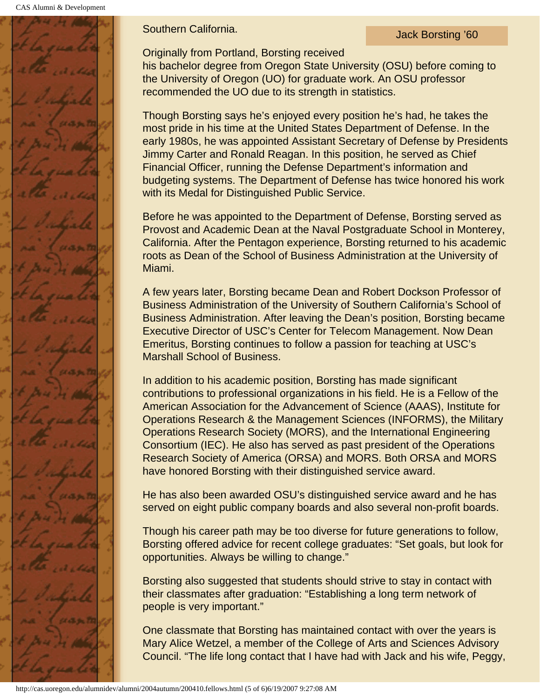CAS Alumni & Development

**Southern California.** Southern California.

Originally from Portland, Borsting received

his bachelor degree from Oregon State University (OSU) before coming to the University of Oregon (UO) for graduate work. An OSU professor recommended the UO due to its strength in statistics.

Though Borsting says he's enjoyed every position he's had, he takes the most pride in his time at the United States Department of Defense. In the early 1980s, he was appointed Assistant Secretary of Defense by Presidents Jimmy Carter and Ronald Reagan. In this position, he served as Chief Financial Officer, running the Defense Department's information and budgeting systems. The Department of Defense has twice honored his work with its Medal for Distinguished Public Service.

Before he was appointed to the Department of Defense, Borsting served as Provost and Academic Dean at the Naval Postgraduate School in Monterey, California. After the Pentagon experience, Borsting returned to his academic roots as Dean of the School of Business Administration at the University of Miami.

A few years later, Borsting became Dean and Robert Dockson Professor of Business Administration of the University of Southern California's School of Business Administration. After leaving the Dean's position, Borsting became Executive Director of USC's Center for Telecom Management. Now Dean Emeritus, Borsting continues to follow a passion for teaching at USC's Marshall School of Business.

In addition to his academic position, Borsting has made significant contributions to professional organizations in his field. He is a Fellow of the American Association for the Advancement of Science (AAAS), Institute for Operations Research & the Management Sciences (INFORMS), the Military Operations Research Society (MORS), and the International Engineering Consortium (IEC). He also has served as past president of the Operations Research Society of America (ORSA) and MORS. Both ORSA and MORS have honored Borsting with their distinguished service award.

He has also been awarded OSU's distinguished service award and he has served on eight public company boards and also several non-profit boards.

Though his career path may be too diverse for future generations to follow, Borsting offered advice for recent college graduates: "Set goals, but look for opportunities. Always be willing to change."

Borsting also suggested that students should strive to stay in contact with their classmates after graduation: "Establishing a long term network of people is very important."

One classmate that Borsting has maintained contact with over the years is Mary Alice Wetzel, a member of the College of Arts and Sciences Advisory Council. "The life long contact that I have had with Jack and his wife, Peggy,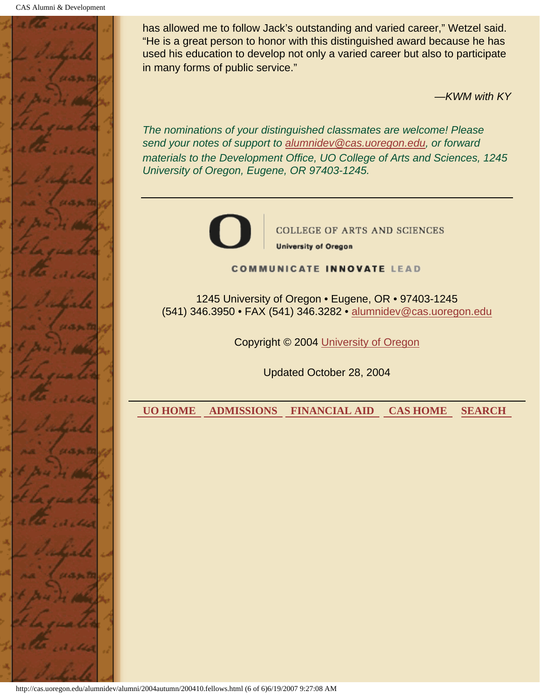

has allowed me to follow Jack's outstanding and varied career," Wetzel said. "He is a great person to honor with this distinguished award because he has used his education to develop not only a varied career but also to participate in many forms of public service."

*—KWM with KY*

*The nominations of your distinguished classmates are welcome! Please send your notes of support to alumnidev@cas.uoregon.edu, or forward materials to the Development Office, UO College of Arts and Sciences, 1245 University of Oregon, Eugene, OR 97403-1245.*



**COLLEGE OF ARTS AND SCIENCES University of Oregon** 

**COMMUNICATE INNOVATE LEAD** 

1245 University of Oregon • Eugene, OR • 97403-1245 (541) 346.3950 • FAX (541) 346.3282 • alumnidev@cas.uoregon.edu

Copyright © 2004 University of Oregon

Updated October 28, 2004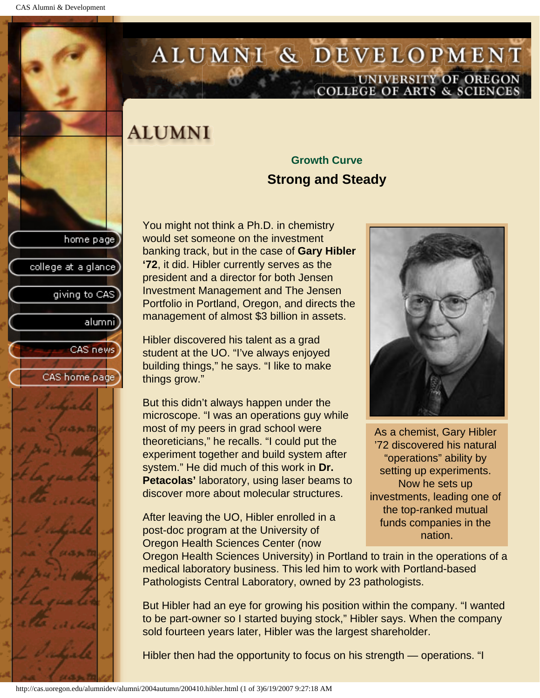college at a glance

giving to CAS

alumnil

CAS news

CAS home page

# <span id="page-40-0"></span>ALUMNI & DEVELOPMENT UNIVERSITY OF OREGON<br>COLLEGE OF ARTS & SCIENCES

# **ALUMNI**

### **Growth Curve Strong and Steady**

You might not think a Ph.D. in chemistry would set someone on the investment banking track, but in the case of **Gary Hibler '72**, it did. Hibler currently serves as the president and a director for both Jensen Investment Management and The Jensen Portfolio in Portland, Oregon, and directs the management of almost \$3 billion in assets.

Hibler discovered his talent as a grad student at the UO. "I've always enjoyed building things," he says. "I like to make things grow."

But this didn't always happen under the microscope. "I was an operations guy while most of my peers in grad school were theoreticians," he recalls. "I could put the experiment together and build system after system." He did much of this work in **Dr. Petacolas'** laboratory, using laser beams to discover more about molecular structures.

After leaving the UO, Hibler enrolled in a post-doc program at the University of Oregon Health Sciences Center (now



As a chemist, Gary Hibler '72 discovered his natural "operations" ability by setting up experiments. Now he sets up investments, leading one of the top-ranked mutual funds companies in the nation.

Oregon Health Sciences University) in Portland to train in the operations of a medical laboratory business. This led him to work with Portland-based Pathologists Central Laboratory, owned by 23 pathologists.

But Hibler had an eye for growing his position within the company. "I wanted to be part-owner so I started buying stock," Hibler says. When the company sold fourteen years later, Hibler was the largest shareholder.

Hibler then had the opportunity to focus on his strength — operations. "I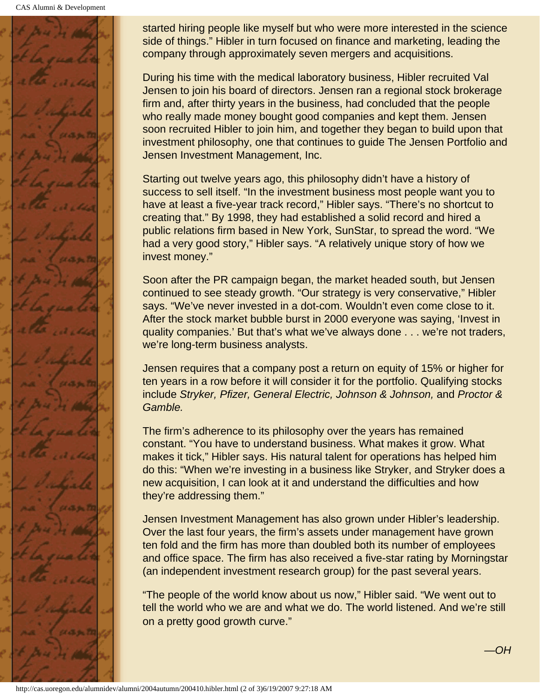

started hiring people like myself but who were more interested in the science side of things." Hibler in turn focused on finance and marketing, leading the company through approximately seven mergers and acquisitions.

During his time with the medical laboratory business, Hibler recruited Val Jensen to join his board of directors. Jensen ran a regional stock brokerage firm and, after thirty years in the business, had concluded that the people who really made money bought good companies and kept them. Jensen soon recruited Hibler to join him, and together they began to build upon that investment philosophy, one that continues to guide The Jensen Portfolio and Jensen Investment Management, Inc.

Starting out twelve years ago, this philosophy didn't have a history of success to sell itself. "In the investment business most people want you to have at least a five-year track record," Hibler says. "There's no shortcut to creating that." By 1998, they had established a solid record and hired a public relations firm based in New York, SunStar, to spread the word. "We had a very good story," Hibler says. "A relatively unique story of how we invest money."

Soon after the PR campaign began, the market headed south, but Jensen continued to see steady growth. "Our strategy is very conservative," Hibler says. "We've never invested in a dot-com. Wouldn't even come close to it. After the stock market bubble burst in 2000 everyone was saying, 'Invest in quality companies.' But that's what we've always done . . . we're not traders, we're long-term business analysts.

Jensen requires that a company post a return on equity of 15% or higher for ten years in a row before it will consider it for the portfolio. Qualifying stocks include *Stryker, Pfizer, General Electric, Johnson & Johnson,* and *Proctor & Gamble.*

The firm's adherence to its philosophy over the years has remained constant. "You have to understand business. What makes it grow. What makes it tick," Hibler says. His natural talent for operations has helped him do this: "When we're investing in a business like Stryker, and Stryker does a new acquisition, I can look at it and understand the difficulties and how they're addressing them."

Jensen Investment Management has also grown under Hibler's leadership. Over the last four years, the firm's assets under management have grown ten fold and the firm has more than doubled both its number of employees and office space. The firm has also received a five-star rating by Morningstar (an independent investment research group) for the past several years.

"The people of the world know about us now," Hibler said. "We went out to tell the world who we are and what we do. The world listened. And we're still on a pretty good growth curve."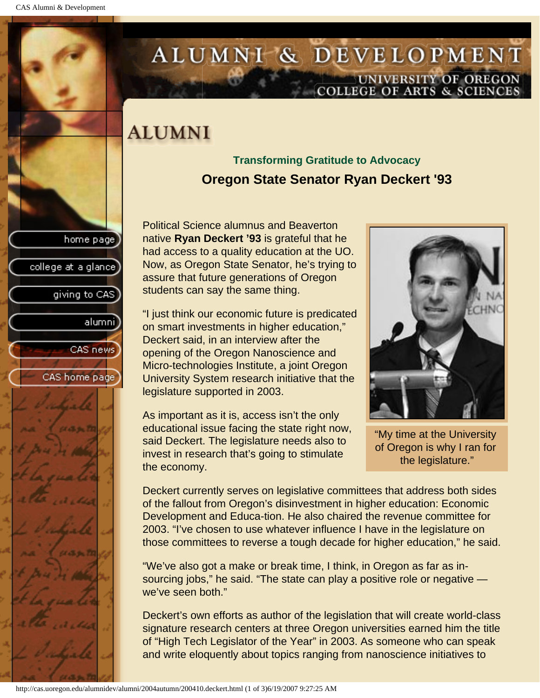college at a glance

giving to CAS

alumnil

CAS news

CAS home page

# <span id="page-42-0"></span>ALUMNI & DEVELOPMENT UNIVERSITY OF OREGON<br>COLLEGE OF ARTS & SCIENCES

# **ALUMNI**

### **Transforming Gratitude to Advocacy Oregon State Senator Ryan Deckert '93**

Political Science alumnus and Beaverton native **Ryan Deckert '93** is grateful that he had access to a quality education at the UO. Now, as Oregon State Senator, he's trying to assure that future generations of Oregon students can say the same thing.

"I just think our economic future is predicated on smart investments in higher education," Deckert said, in an interview after the opening of the Oregon Nanoscience and Micro-technologies Institute, a joint Oregon University System research initiative that the legislature supported in 2003.

As important as it is, access isn't the only educational issue facing the state right now, said Deckert. The legislature needs also to invest in research that's going to stimulate the economy.



"My time at the University of Oregon is why I ran for the legislature."

Deckert currently serves on legislative committees that address both sides of the fallout from Oregon's disinvestment in higher education: Economic Development and Educa-tion. He also chaired the revenue committee for 2003. "I've chosen to use whatever influence I have in the legislature on those committees to reverse a tough decade for higher education," he said.

"We've also got a make or break time, I think, in Oregon as far as insourcing jobs," he said. "The state can play a positive role or negative we've seen both."

Deckert's own efforts as author of the legislation that will create world-class signature research centers at three Oregon universities earned him the title of "High Tech Legislator of the Year" in 2003. As someone who can speak and write eloquently about topics ranging from nanoscience initiatives to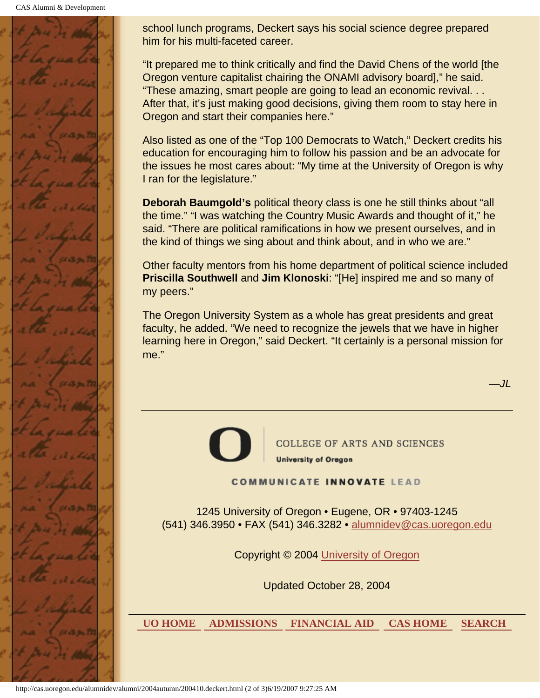CAS Alumni & Development



school lunch programs, Deckert says his social science degree prepared him for his multi-faceted career.

"It prepared me to think critically and find the David Chens of the world [the Oregon venture capitalist chairing the ONAMI advisory board]," he said. "These amazing, smart people are going to lead an economic revival. . . After that, it's just making good decisions, giving them room to stay here in Oregon and start their companies here."

Also listed as one of the "Top 100 Democrats to Watch," Deckert credits his education for encouraging him to follow his passion and be an advocate for the issues he most cares about: "My time at the University of Oregon is why I ran for the legislature."

**Deborah Baumgold's** political theory class is one he still thinks about "all the time." "I was watching the Country Music Awards and thought of it," he said. "There are political ramifications in how we present ourselves, and in the kind of things we sing about and think about, and in who we are."

Other faculty mentors from his home department of political science included **Priscilla Southwell** and **Jim Klonoski**: "[He] inspired me and so many of my peers."

The Oregon University System as a whole has great presidents and great faculty, he added. "We need to recognize the jewels that we have in higher learning here in Oregon," said Deckert. "It certainly is a personal mission for me."

*—JL*



**COLLEGE OF ARTS AND SCIENCES University of Oregon** 

**COMMUNICATE INNOVATE LEAD** 

1245 University of Oregon • Eugene, OR • 97403-1245 (541) 346.3950 • FAX (541) 346.3282 • alumnidev@cas.uoregon.edu

Copyright © 2004 University of Oregon

Updated October 28, 2004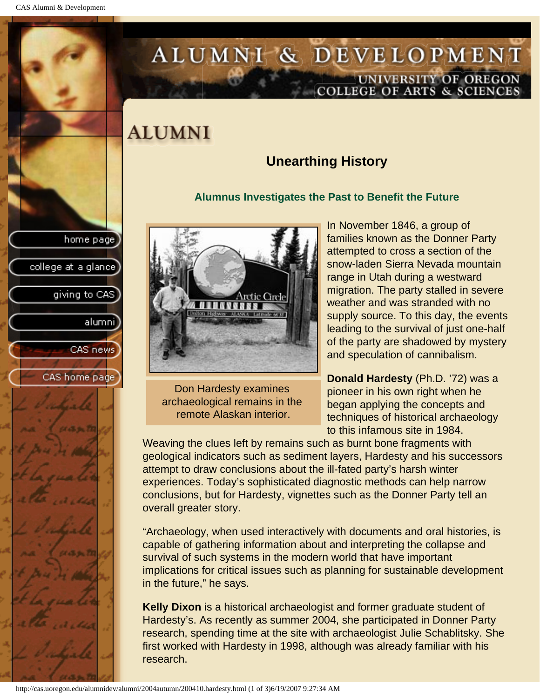college at a glance]

giving to CAS

alumni

CAS news

CAS home page

# <span id="page-44-0"></span>ALUMNI & DEVELOPMENT UNIVERSITY OF OREGON<br>COLLEGE OF ARTS & SCIENCES

# **ALUMNI**

### **Unearthing History**

### **Alumnus Investigates the Past to Benefit the Future**



Don Hardesty examines archaeological remains in the remote Alaskan interior.

In November 1846, a group of families known as the Donner Party attempted to cross a section of the snow-laden Sierra Nevada mountain range in Utah during a westward migration. The party stalled in severe weather and was stranded with no supply source. To this day, the events leading to the survival of just one-half of the party are shadowed by mystery and speculation of cannibalism.

**Donald Hardesty** (Ph.D. '72) was a pioneer in his own right when he began applying the concepts and techniques of historical archaeology to this infamous site in 1984.

Weaving the clues left by remains such as burnt bone fragments with geological indicators such as sediment layers, Hardesty and his successors attempt to draw conclusions about the ill-fated party's harsh winter experiences. Today's sophisticated diagnostic methods can help narrow conclusions, but for Hardesty, vignettes such as the Donner Party tell an overall greater story.

"Archaeology, when used interactively with documents and oral histories, is capable of gathering information about and interpreting the collapse and survival of such systems in the modern world that have important implications for critical issues such as planning for sustainable development in the future," he says.

**Kelly Dixon** is a historical archaeologist and former graduate student of Hardesty's. As recently as summer 2004, she participated in Donner Party research, spending time at the site with archaeologist Julie Schablitsky. She first worked with Hardesty in 1998, although was already familiar with his research.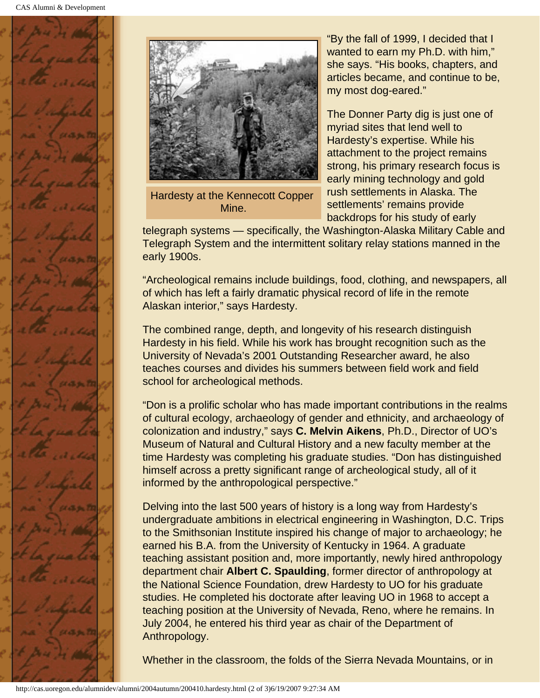



Hardesty at the Kennecott Copper Mine.

"By the fall of 1999, I decided that I wanted to earn my Ph.D. with him," she says. "His books, chapters, and articles became, and continue to be, my most dog-eared."

The Donner Party dig is just one of myriad sites that lend well to Hardesty's expertise. While his attachment to the project remains strong, his primary research focus is early mining technology and gold rush settlements in Alaska. The settlements' remains provide backdrops for his study of early

telegraph systems — specifically, the Washington-Alaska Military Cable and Telegraph System and the intermittent solitary relay stations manned in the early 1900s.

"Archeological remains include buildings, food, clothing, and newspapers, all of which has left a fairly dramatic physical record of life in the remote Alaskan interior," says Hardesty.

The combined range, depth, and longevity of his research distinguish Hardesty in his field. While his work has brought recognition such as the University of Nevada's 2001 Outstanding Researcher award, he also teaches courses and divides his summers between field work and field school for archeological methods.

"Don is a prolific scholar who has made important contributions in the realms of cultural ecology, archaeology of gender and ethnicity, and archaeology of colonization and industry," says **C. Melvin Aikens**, Ph.D., Director of UO's Museum of Natural and Cultural History and a new faculty member at the time Hardesty was completing his graduate studies. "Don has distinguished himself across a pretty significant range of archeological study, all of it informed by the anthropological perspective."

Delving into the last 500 years of history is a long way from Hardesty's undergraduate ambitions in electrical engineering in Washington, D.C. Trips to the Smithsonian Institute inspired his change of major to archaeology; he earned his B.A. from the University of Kentucky in 1964. A graduate teaching assistant position and, more importantly, newly hired anthropology department chair **Albert C. Spaulding**, former director of anthropology at the National Science Foundation, drew Hardesty to UO for his graduate studies. He completed his doctorate after leaving UO in 1968 to accept a teaching position at the University of Nevada, Reno, where he remains. In July 2004, he entered his third year as chair of the Department of Anthropology.

Whether in the classroom, the folds of the Sierra Nevada Mountains, or in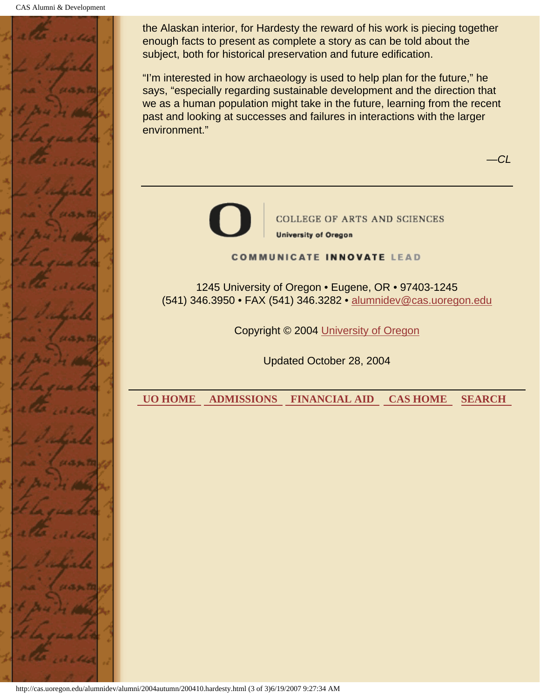

the Alaskan interior, for Hardesty the reward of his work is piecing together enough facts to present as complete a story as can be told about the subject, both for historical preservation and future edification.

"I'm interested in how archaeology is used to help plan for the future," he says, "especially regarding sustainable development and the direction that we as a human population might take in the future, learning from the recent past and looking at successes and failures in interactions with the larger environment."

*—CL*



**COLLEGE OF ARTS AND SCIENCES** 

**University of Oregon** 

#### **COMMUNICATE INNOVATE LEAD**

1245 University of Oregon • Eugene, OR • 97403-1245 (541) 346.3950 • FAX (541) 346.3282 • alumnidev@cas.uoregon.edu

Copyright © 2004 University of Oregon

Updated October 28, 2004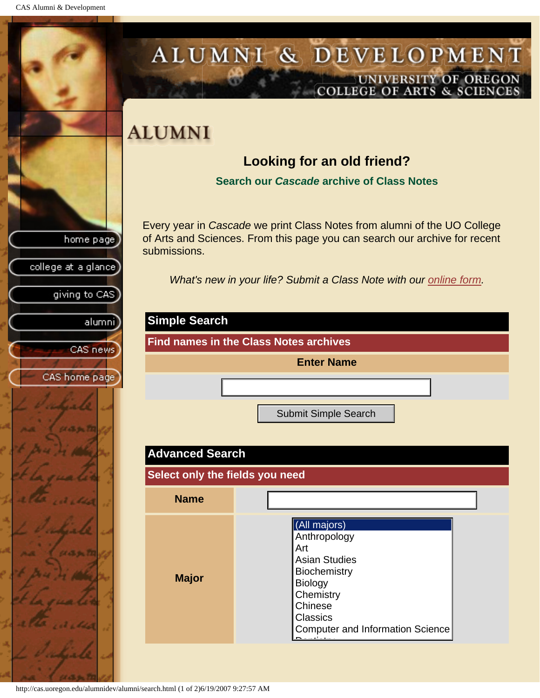<span id="page-47-0"></span>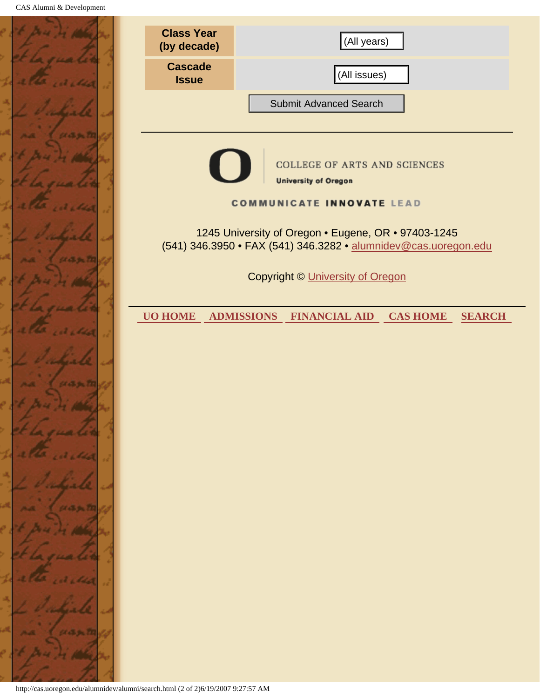|          | <b>Class Year</b><br>(by decade)                                                                                       | (All years)                                                 |  |  |
|----------|------------------------------------------------------------------------------------------------------------------------|-------------------------------------------------------------|--|--|
|          | <b>Cascade</b><br><b>Issue</b>                                                                                         | (All issues)                                                |  |  |
|          |                                                                                                                        | <b>Submit Advanced Search</b>                               |  |  |
| 5. STR 2 |                                                                                                                        |                                                             |  |  |
|          |                                                                                                                        | COLLEGE OF ARTS AND SCIENCES<br><b>University of Oregon</b> |  |  |
|          | <b>COMMUNICATE INNOVATE LEAD</b>                                                                                       |                                                             |  |  |
|          | 1245 University of Oregon . Eugene, OR . 97403-1245<br>(541) 346.3950 • FAX (541) 346.3282 • alumnidev@cas.uoregon.edu |                                                             |  |  |
|          | <b>Copyright © University of Oregon</b>                                                                                |                                                             |  |  |
|          | <b>UO HOME</b>                                                                                                         | ADMISSIONS FINANCIAL AID CAS HOME<br><b>SEARCH</b>          |  |  |
|          |                                                                                                                        |                                                             |  |  |
| 6.5.34   |                                                                                                                        |                                                             |  |  |
|          |                                                                                                                        |                                                             |  |  |
|          |                                                                                                                        |                                                             |  |  |
|          |                                                                                                                        |                                                             |  |  |
|          |                                                                                                                        |                                                             |  |  |
|          |                                                                                                                        |                                                             |  |  |
|          |                                                                                                                        |                                                             |  |  |
|          |                                                                                                                        |                                                             |  |  |
|          |                                                                                                                        |                                                             |  |  |
|          |                                                                                                                        |                                                             |  |  |
|          | http://cas.uoregon.edu/alumnidev/alumni/search.html (2 of 2)6/19/2007 9:27:57 AM                                       |                                                             |  |  |